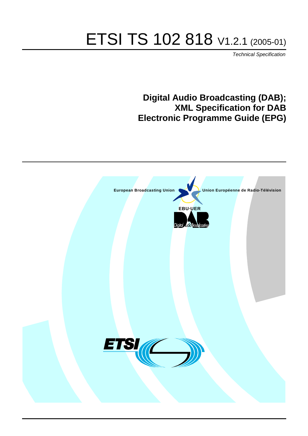# ETSI TS 102 818 V1.2.1 (2005-01)

Technical Specification

## **Digital Audio Broadcasting (DAB); XML Specification for DAB Electronic Programme Guide (EPG)**

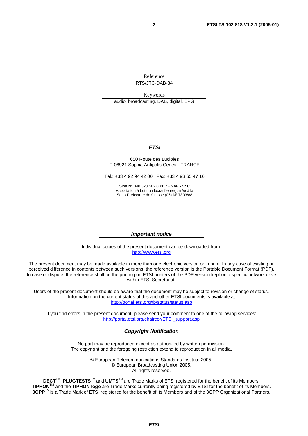Reference RTS/JTC-DAB-34

Keywords audio, broadcasting, DAB, digital, EPG

#### **ETSI**

#### 650 Route des Lucioles F-06921 Sophia Antipolis Cedex - FRANCE

Tel.: +33 4 92 94 42 00 Fax: +33 4 93 65 47 16

Siret N° 348 623 562 00017 - NAF 742 C Association à but non lucratif enregistrée à la Sous-Préfecture de Grasse (06) N° 7803/88

#### **Important notice**

Individual copies of the present document can be downloaded from: [http://www.etsi.org](http://www.etsi.org/)

The present document may be made available in more than one electronic version or in print. In any case of existing or perceived difference in contents between such versions, the reference version is the Portable Document Format (PDF). In case of dispute, the reference shall be the printing on ETSI printers of the PDF version kept on a specific network drive within ETSI Secretariat.

Users of the present document should be aware that the document may be subject to revision or change of status. Information on the current status of this and other ETSI documents is available at <http://portal.etsi.org/tb/status/status.asp>

If you find errors in the present document, please send your comment to one of the following services: [http://portal.etsi.org/chaircor/ETSI\\_support.asp](http://portal.etsi.org/chaircor/ETSI_support.asp)

#### **Copyright Notification**

No part may be reproduced except as authorized by written permission. The copyright and the foregoing restriction extend to reproduction in all media.

> © European Telecommunications Standards Institute 2005. © European Broadcasting Union 2005. All rights reserved.

**DECT**TM, **PLUGTESTS**TM and **UMTS**TM are Trade Marks of ETSI registered for the benefit of its Members. **TIPHON**TM and the **TIPHON logo** are Trade Marks currently being registered by ETSI for the benefit of its Members. **3GPP**TM is a Trade Mark of ETSI registered for the benefit of its Members and of the 3GPP Organizational Partners.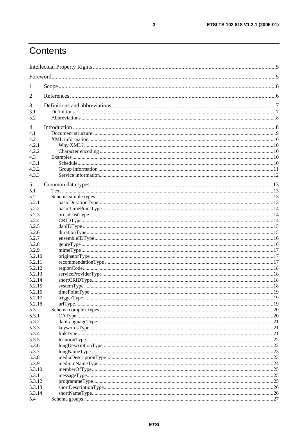## Contents

| $\mathbf{I}$   |  |  |  |  |  |
|----------------|--|--|--|--|--|
| 2              |  |  |  |  |  |
| 3              |  |  |  |  |  |
| 3.1            |  |  |  |  |  |
| 3.2            |  |  |  |  |  |
| $\overline{4}$ |  |  |  |  |  |
| 4.1            |  |  |  |  |  |
| 4.2            |  |  |  |  |  |
| 4.2.1          |  |  |  |  |  |
| 4.2.2          |  |  |  |  |  |
| 4.3            |  |  |  |  |  |
| 4.3.1          |  |  |  |  |  |
| 4.3.2          |  |  |  |  |  |
| 4.3.3          |  |  |  |  |  |
| 5              |  |  |  |  |  |
| 5.1            |  |  |  |  |  |
| 5.2            |  |  |  |  |  |
| 5.2.1          |  |  |  |  |  |
| 5.2.2          |  |  |  |  |  |
| 5.2.3          |  |  |  |  |  |
| 5.2.4          |  |  |  |  |  |
| 5.2.5          |  |  |  |  |  |
| 5.2.6          |  |  |  |  |  |
| 5.2.7          |  |  |  |  |  |
| 5.2.8          |  |  |  |  |  |
| 5.2.9          |  |  |  |  |  |
| 5.2.10         |  |  |  |  |  |
| 5.2.11         |  |  |  |  |  |
| 5.2.12         |  |  |  |  |  |
| 5.2.13         |  |  |  |  |  |
| 5.2.14         |  |  |  |  |  |
| 5.2.15         |  |  |  |  |  |
| 5.2.16         |  |  |  |  |  |
| 5.2.17         |  |  |  |  |  |
| 5.2.18         |  |  |  |  |  |
| 5.3            |  |  |  |  |  |
| 5.3.1          |  |  |  |  |  |
| 5.3.2          |  |  |  |  |  |
| 5.3.3          |  |  |  |  |  |
| 5.3.4          |  |  |  |  |  |
| 5.3.5          |  |  |  |  |  |
| 5.3.6          |  |  |  |  |  |
| 5.3.7<br>5.3.8 |  |  |  |  |  |
| 5.3.9          |  |  |  |  |  |
| 5.3.10         |  |  |  |  |  |
| 5.3.11         |  |  |  |  |  |
| 5.3.12         |  |  |  |  |  |
| 5.3.13         |  |  |  |  |  |
| 5.3.14         |  |  |  |  |  |
| 5.4            |  |  |  |  |  |
|                |  |  |  |  |  |

 $\mathbf{3}$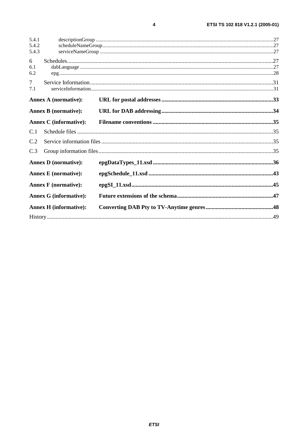| 5.4.1                         |  |  |
|-------------------------------|--|--|
| 5.4.2<br>5.4.3                |  |  |
|                               |  |  |
| 6                             |  |  |
| 6.1<br>6.2                    |  |  |
| $\overline{7}$                |  |  |
| 7.1                           |  |  |
|                               |  |  |
| <b>Annex A (normative):</b>   |  |  |
| <b>Annex B</b> (normative):   |  |  |
| <b>Annex C</b> (informative): |  |  |
| C.1                           |  |  |
| C.2                           |  |  |
| C.3                           |  |  |
| <b>Annex D</b> (normative):   |  |  |
| <b>Annex E</b> (normative):   |  |  |
| <b>Annex F</b> (normative):   |  |  |
| <b>Annex G (informative):</b> |  |  |
| <b>Annex H</b> (informative): |  |  |
|                               |  |  |

 $\overline{\mathbf{4}}$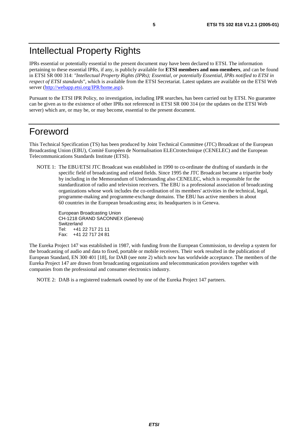## Intellectual Property Rights

IPRs essential or potentially essential to the present document may have been declared to ETSI. The information pertaining to these essential IPRs, if any, is publicly available for **ETSI members and non-members**, and can be found in ETSI SR 000 314: *"Intellectual Property Rights (IPRs); Essential, or potentially Essential, IPRs notified to ETSI in respect of ETSI standards"*, which is available from the ETSI Secretariat. Latest updates are available on the ETSI Web server (<http://webapp.etsi.org/IPR/home.asp>).

Pursuant to the ETSI IPR Policy, no investigation, including IPR searches, has been carried out by ETSI. No guarantee can be given as to the existence of other IPRs not referenced in ETSI SR 000 314 (or the updates on the ETSI Web server) which are, or may be, or may become, essential to the present document.

## Foreword

This Technical Specification (TS) has been produced by Joint Technical Committee (JTC) Broadcast of the European Broadcasting Union (EBU), Comité Européen de Normalisation ELECtrotechnique (CENELEC) and the European Telecommunications Standards Institute (ETSI).

NOTE 1: The EBU/ETSI JTC Broadcast was established in 1990 to co-ordinate the drafting of standards in the specific field of broadcasting and related fields. Since 1995 the JTC Broadcast became a tripartite body by including in the Memorandum of Understanding also CENELEC, which is responsible for the standardization of radio and television receivers. The EBU is a professional association of broadcasting organizations whose work includes the co-ordination of its members' activities in the technical, legal, programme-making and programme-exchange domains. The EBU has active members in about 60 countries in the European broadcasting area; its headquarters is in Geneva.

European Broadcasting Union CH-1218 GRAND SACONNEX (Geneva) Switzerland Tel: +41 22 717 21 11 Fax: +41 22 717 24 81

The Eureka Project 147 was established in 1987, with funding from the European Commission, to develop a system for the broadcasting of audio and data to fixed, portable or mobile receivers. Their work resulted in the publication of European Standard, EN 300 401 [18], for DAB (see note 2) which now has worldwide acceptance. The members of the Eureka Project 147 are drawn from broadcasting organizations and telecommunication providers together with companies from the professional and consumer electronics industry.

NOTE 2: DAB is a registered trademark owned by one of the Eureka Project 147 partners.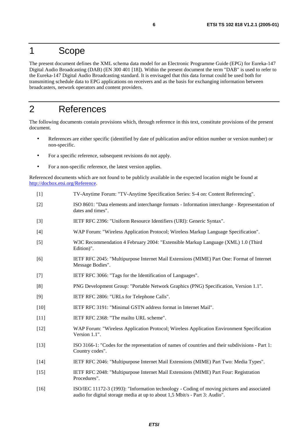## 1 Scope

The present document defines the XML schema data model for an Electronic Programme Guide (EPG) for Eureka-147 Digital Audio Broadcasting (DAB) (EN 300 401 [18]). Within the present document the term "DAB" is used to refer to the Eureka-147 Digital Audio Broadcasting standard. It is envisaged that this data format could be used both for transmitting schedule data to EPG applications on receivers and as the basis for exchanging information between broadcasters, network operators and content providers.

## 2 References

The following documents contain provisions which, through reference in this text, constitute provisions of the present document.

- References are either specific (identified by date of publication and/or edition number or version number) or non-specific.
- For a specific reference, subsequent revisions do not apply.
- For a non-specific reference, the latest version applies.

Referenced documents which are not found to be publicly available in the expected location might be found at [http://docbox.etsi.org/Reference.](http://docbox.etsi.org/Reference)

- [1] TV-Anytime Forum: "TV-Anytime Specification Series: S-4 on: Content Referencing".
- [2] ISO 8601: "Data elements and interchange formats Information interchange Representation of dates and times".
- [3] IETF RFC 2396: "Uniform Resource Identifiers (URI): Generic Syntax".
- [4] WAP Forum: "Wireless Application Protocol; Wireless Markup Language Specification".
- [5] W3C Recommendation 4 February 2004: "Extensible Markup Language (XML) 1.0 (Third Edition)".
- [6] IETF RFC 2045: "Multipurpose Internet Mail Extensions (MIME) Part One: Format of Internet Message Bodies".
- [7] IETF RFC 3066: "Tags for the Identification of Languages".
- [8] PNG Development Group: "Portable Network Graphics (PNG) Specification, Version 1.1".
- [9] IETF RFC 2806: "URLs for Telephone Calls".
- [10] IETF RFC 3191: "Minimal GSTN address format in Internet Mail".
- [11] IETF RFC 2368: "The mailto URL scheme".
- [12] WAP Forum: "Wireless Application Protocol; Wireless Application Environment Specification Version 1.1".
- [13] ISO 3166-1: "Codes for the representation of names of countries and their subdivisions Part 1: Country codes".
- [14] IETF RFC 2046: "Multipurpose Internet Mail Extensions (MIME) Part Two: Media Types".
- [15] IETF RFC 2048: "Multipurpose Internet Mail Extensions (MIME) Part Four: Registration Procedures".
- [16] ISO/IEC 11172-3 (1993): "Information technology Coding of moving pictures and associated audio for digital storage media at up to about 1,5 Mbit/s - Part 3: Audio".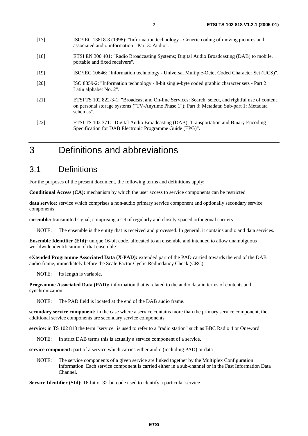- [17] ISO/IEC 13818-3 (1998): "Information technology Generic coding of moving pictures and associated audio information - Part 3: Audio".
- [18] ETSI EN 300 401: "Radio Broadcasting Systems; Digital Audio Broadcasting (DAB) to mobile, portable and fixed receivers".
- [19] ISO/IEC 10646: "Information technology Universal Multiple-Octet Coded Character Set (UCS)".
- [20] ISO 8859-2: "Information technology 8-bit single-byte coded graphic character sets Part 2: Latin alphabet No. 2".
- [21] ETSI TS 102 822-3-1: "Broadcast and On-line Services: Search, select, and rightful use of content on personal storage systems ("TV-Anytime Phase 1"); Part 3: Metadata; Sub-part 1: Metadata schemas".
- [22] ETSI TS 102 371: "Digital Audio Broadcasting (DAB); Transportation and Binary Encoding Specification for DAB Electronic Programme Guide (EPG)".

## 3 Definitions and abbreviations

### 3.1 Definitions

For the purposes of the present document, the following terms and definitions apply:

**Conditional Access (CA):** mechanism by which the user access to service components can be restricted

**data service:** service which comprises a non-audio primary service component and optionally secondary service components

**ensemble:** transmitted signal, comprising a set of regularly and closely-spaced orthogonal carriers

NOTE: The ensemble is the entity that is received and processed. In general, it contains audio and data services.

**Ensemble Identifier (EId):** unique 16-bit code, allocated to an ensemble and intended to allow unambiguous worldwide identification of that ensemble

**eXtended Programme Associated Data (X-PAD):** extended part of the PAD carried towards the end of the DAB audio frame, immediately before the Scale Factor Cyclic Redundancy Check (CRC)

NOTE: Its length is variable.

**Programme Associated Data (PAD):** information that is related to the audio data in terms of contents and synchronization

NOTE: The PAD field is located at the end of the DAB audio frame.

**secondary service component:** in the case where a service contains more than the primary service component, the additional service components are secondary service components

**service:** in TS 102 818 the term "service" is used to refer to a "radio station" such as BBC Radio 4 or Oneword

NOTE: In strict DAB terms this is actually a service component of a service.

**service component:** part of a service which carries either audio (including PAD) or data

NOTE: The service components of a given service are linked together by the Multiplex Configuration Information. Each service component is carried either in a sub-channel or in the Fast Information Data Channel.

**Service Identifier (SId):** 16-bit or 32-bit code used to identify a particular service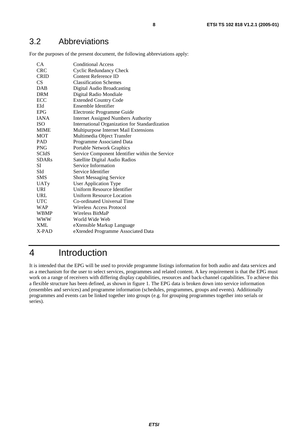## 3.2 Abbreviations

For the purposes of the present document, the following abbreviations apply:

| CA           | <b>Conditional Access</b>                       |
|--------------|-------------------------------------------------|
| <b>CRC</b>   | <b>Cyclic Redundancy Check</b>                  |
| <b>CRID</b>  | <b>Content Reference ID</b>                     |
| CS.          | <b>Classification Schemes</b>                   |
| <b>DAB</b>   | Digital Audio Broadcasting                      |
| <b>DRM</b>   | Digital Radio Mondiale                          |
| ECC          | <b>Extended Country Code</b>                    |
| EId          | Ensemble Identifier                             |
| <b>EPG</b>   | Electronic Programme Guide                      |
| <b>IANA</b>  | <b>Internet Assigned Numbers Authority</b>      |
| <b>ISO</b>   | International Organization for Standardization  |
| <b>MIME</b>  | Multipurpose Internet Mail Extensions           |
| MOT          | Multimedia Object Transfer                      |
| <b>PAD</b>   | Programme Associated Data                       |
| <b>PNG</b>   | Portable Network Graphics                       |
| <b>SCIdS</b> | Service Component Identifier within the Service |
| <b>SDARs</b> | Satellite Digital Audio Radios                  |
| SI           | Service Information                             |
| SId          | Service Identifier                              |
| <b>SMS</b>   | <b>Short Messaging Service</b>                  |
| UATy         | <b>User Application Type</b>                    |
| <b>URI</b>   | Uniform Resource Identifier                     |
| URL          | <b>Uniform Resource Location</b>                |
| <b>UTC</b>   | Co-ordinated Universal Time                     |
| WAP          | Wireless Access Protocol                        |
| <b>WBMP</b>  | Wireless BitMaP                                 |
| <b>WWW</b>   | World Wide Web                                  |
| <b>XML</b>   | eXtensible Markup Language                      |
| X-PAD        | eXtended Programme Associated Data              |
|              |                                                 |

## 4 Introduction

It is intended that the EPG will be used to provide programme listings information for both audio and data services and as a mechanism for the user to select services, programmes and related content. A key requirement is that the EPG must work on a range of receivers with differing display capabilities, resources and back-channel capabilities. To achieve this a flexible structure has been defined, as shown in figure 1. The EPG data is broken down into service information (ensembles and services) and programme information (schedules, programmes, groups and events). Additionally programmes and events can be linked together into groups (e.g. for grouping programmes together into serials or series).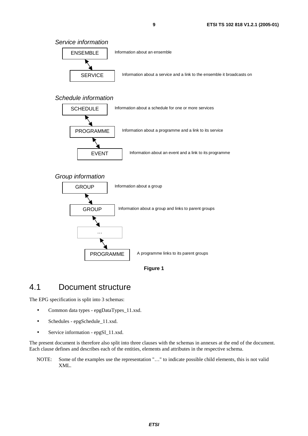Service information



#### Schedule information



#### Group information





## 4.1 Document structure

The EPG specification is split into 3 schemas:

- Common data types epgDataTypes\_11.xsd.
- Schedules epgSchedule\_11.xsd.
- Service information epgSI 11.xsd.

The present document is therefore also split into three clauses with the schemas in annexes at the end of the document. Each clause defines and describes each of the entities, elements and attributes in the respective schema.

NOTE: Some of the examples use the representation "…" to indicate possible child elements, this is not valid XML.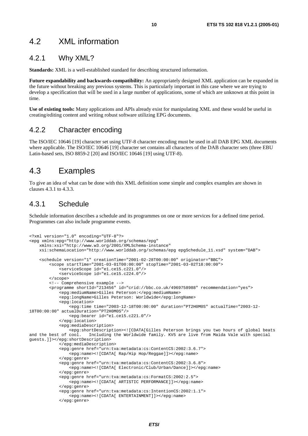### 4.2 XML information

### 4.2.1 Why XML?

**Standards:** XML is a well-established standard for describing structured information.

**Future expandability and backwards-compatibility:** An appropriately designed XML application can be expanded in the future without breaking any previous systems. This is particularly important in this case where we are trying to develop a specification that will be used in a large number of applications, some of which are unknown at this point in time.

**Use of existing tools:** Many applications and APIs already exist for manipulating XML and these would be useful in creating/editing content and writing robust software utilizing EPG documents.

#### 4.2.2 Character encoding

The ISO/IEC 10646 [19] character set using UTF-8 character encoding must be used in all DAB EPG XML documents where applicable. The ISO/IEC 10646 [19] character set contains all characters of the DAB character sets (three EBU Latin-based sets, ISO 8859-2 [20] and ISO/IEC 10646 [19] using UTF-8).

### 4.3 Examples

To give an idea of what can be done with this XML definition some simple and complex examples are shown in clauses 4.3.1 to 4.3.3.

### 4.3.1 Schedule

Schedule information describes a schedule and its programmes on one or more services for a defined time period. Programmes can also include programme events.

```
<?xml version="1.0" encoding="UTF-8"?> 
<epg xmlns:epg="http://www.worlddab.org/schemas/epg" 
     xmlns:xsi="http://www.w3.org/2001/XMLSchema-instance" 
     xsi:schemaLocation="http://www.worlddab.org/schemas/epg epgSchedule_11.xsd" system="DAB"> 
     <schedule version="1" creationTime="2001-02-28T00:00:00" originator="BBC"> 
         <scope startTime="2001-03-01T00:00:00" stopTime="2001-03-02T18:00:00"> 
             <serviceScope id="e1.ce15.c221.0"/> 
             <serviceScope id="e1.ce15.c224.0"/> 
         </scope> 
         <!-- Comprehensive example --> 
         <programme shortId="213456" id="crid://bbc.co.uk/4969758988" recommendation="yes"> 
             <epg:mediumName>Gilles Peterson:</epg:mediumName> 
             <epg:longName>Gilles Peterson: Worldwide</epg:longName> 
             <epg:location> 
                 <epg:time time="2003-12-18T00:00:00" duration="PT2H0M0S" actualTime="2003-12-
18T00:00:00" actualDuration="PT2H0M0S"/> 
                 <epg:bearer id="e1.ce15.c221.0"/> 
             </epg:location> 
             <epg:mediaDescription> 
 <epg:shortDescription><![CDATA[Gilles Peterson brings you two hours of global beats 
                         Including the Worldwide family. KV5 are live from Maida Vale with special
guests.]]></epg:shortDescription> 
             </epg:mediaDescription> 
             <epg:genre href="urn:tva:metadata:cs:ContentCS:2002:3.6.7"> 
                 <epg:name><![CDATA[ Rap/Hip Hop/Reggae]]></epg:name> 
             </epg:genre> 
             <epg:genre href="urn:tva:metadata:cs:ContentCS:2002:3.6.8"> 
                 <epg:name><![CDATA[ Electronic/Club/Urban/Dance]]></epg:name> 
             </epg:genre> 
             <epg:genre href="urn:tva:metadata:cs:FormatCS:2002:2.5"> 
                 <epg:name><![CDATA[ ARTISTIC PERFORMANCE]]></epg:name> 
             </epg:genre> 
             <epg:genre href="urn:tva:metadata:cs:IntentionCS:2002:1.1"> 
                 <epg:name><![CDATA[ ENTERTAINMENT]]></epg:name>
```
</epg:genre>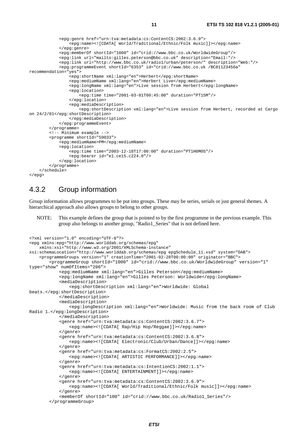```
 <epg:genre href="urn:tva:metadata:cs:ContentCS:2002:3.6.9"> 
                  <epg:name><![CDATA[ World/Traditional/Ethnic/Folk music]]></epg:name> 
              </epg:genre> 
             <epg:memberOf shortId="1000" id="crid://www.bbc.co.uk/WorldwideGroup"/> 
              <epg:link url="mailto:gilles.peterson@bbc.co.uk" description="Email:"/> 
              <epg:link url="http://www.bbc.co.uk/radio1/urban/peterson/" description="Web:"/> 
              <epg:programmeEvent shortId="6353" id="crid://www.bbc.co.uk /BC81123456a" 
recommendation="yes"> 
                  <epg:shortName xml:lang="en">Herbert</epg:shortName> 
                  <epg:mediumName xml:lang="en">Herbert Live</epg:mediumName> 
                  <epg:longName xml:lang="en">Live session from Herbert</epg:longName> 
                  <epg:location> 
                      <epg:time time="2001-03-01T00:45:00" duration="PT15M"/> 
                  </epg:location> 
                  <epg:mediaDescription> 
                     <epg:shortDescription xml:lang="en">Live session from Herbert, recorded at Cargo 
on 24/2/01</epg:shortDescription> 
                  </epg:mediaDescription> 
              </epg:programmeEvent> 
         </programme> 
         <!-- Minimum example --> 
         <programme shortId="59033"> 
              <epg:mediumName>PM</epg:mediumName> 
              <epg:location> 
                  <epg:time time="2003-12-18T17:00:00" duration="PT1H0M0S"/> 
                  <epg:bearer id="e1.ce15.c224.0"/> 
              </epg:location> 
         </programme> 
     </schedule> 
</epg>
```
### 4.3.2 Group information

Group information allows programmes to be put into groups. These may be series, serials or just general themes. A hierarchical approach also allows groups to belong to other groups.

NOTE: This example defines the group that is pointed to by the first programme in the previous example. This group also belongs to another group, "Radio1\_Series" that is not defined here.

```
<?xml version="1.0" encoding="UTF-8"?> 
<epg xmlns:epg="http://www.worlddab.org/schemas/epg" 
     xmlns:xsi="http://www.w3.org/2001/XMLSchema-instance" 
xsi:schemaLocation="http://www.worlddab.org/schemas/epg epgSchedule_11.xsd" system="DAB"> 
     <programmeGroups version="1" creationTime="2001-02-28T00:00:00" originator="BBC"> 
         <programmeGroup shortId="1000" id="crid://www.bbc.co.uk/WorldwideGroup" version="1" 
type="show" numOfItems="206"> 
             <epg:mediumName xml:lang="en">Gilles Peterson</epg:mediumName> 
             <epg:longName xml:lang="en">Gilles Peterson: Worldwide</epg:longName> 
             <mediaDescription> 
                 <epg:shortDescription xml:lang="en">Worldwide: Global 
beats.</epg:shortDescription> 
             </mediaDescription> 
             <mediaDescription> 
                 <epg:longDescription xml:lang="en">Worldwide: Music from the back room of Club 
Radio 1.</epg:longDescription> 
             </mediaDescription> 
             <genre href="urn:tva:metadata:cs:ContentCS:2002:3.6.7"> 
                 <epg:name><![CDATA[ Rap/Hip Hop/Reggae]]></epg:name> 
             </genre> 
             <genre href="urn:tva:metadata:cs:ContentCS:2002:3.6.8"> 
                <epg:name><![CDATA[ Electronic/Club/Urban/Dance]]></epg:name> 
             </genre> 
             <genre href="urn:tva:metadata:cs:FormatCS:2002:2.5"> 
                 <epg:name><![CDATA[ ARTISTIC PERFORMANCE]]></epg:name> 
             </genre> 
             <genre href="urn:tva:metadata:cs:IntentionCS:2002:1.1"> 
                 <epg:name><![CDATA[ ENTERTAINMENT]]></epg:name> 
             </genre> 
             <genre href="urn:tva:metadata:cs:ContentCS:2002:3.6.9"> 
                 <epg:name><![CDATA[ World/Traditional/Ethnic/Folk music]]></epg:name> 
             </genre> 
             <memberOf shortId="100" id="crid://www.bbc.co.uk/Radio1_Series"/> 
         </programmeGroup>
```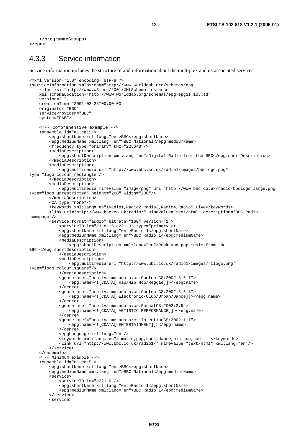```
 </programmeGroups> 
</epg>
```
### 4.3.3 Service information

Service information includes the structure of and information about the multiplex and its associated services.

```
<?xml version="1.0" encoding="UTF-8"?> 
<serviceInformation xmlns:epg="http://www.worlddab.org/schemas/epg" 
     xmlns:xsi="http://www.w3.org/2001/XMLSchema-instance" 
    xsi:schemaLocation="http://www.worlddab.org/schemas/epg epgSI_10.xsd" 
     version="1" 
     creationTime="2001-02-28T00:00:00" 
     originator="BBC" 
     serviceProvider="BBC" 
     system="DAB"> 
     <!-- Comprehensive example --> 
     <ensemble id="e1.ce15"> 
         <epg:shortName xml:lang="en">BBC</epg:shortName> 
         <epg:mediumName xml:lang="en">BBC National</epg:mediumName> 
         <frequency type="primary" kHz="225648"/> 
         <mediaDescription> 
             <epg:shortDescription xml:lang="en">Digital Radio from the BBC</epg:shortDescription> 
         </mediaDescription> 
         <mediaDescription> 
             <epg:multimedia url="http://www.bbc.co.uk/radio1/images/bbclogo.png" 
type="logo_colour_rectangle"/> 
         </mediaDescription> 
         <mediaDescription> 
              <epg:multimedia mimeValue="image/png" url="http://www.bbc.co.uk/radio/bbclogo_large.png" 
type="logo_unrestricted" height="200" width="200"/> 
         </mediaDescription> 
         <CA type="none"/> 
         <keywords xml:lang="en">Radio1,Radio2,Radio3,Radio4,Radio5,Live</keywords> 
         <link url="http://www.bbc.co.uk/radio/" mimeValue="text/html" description="BBC Radio 
homepage"/> 
         <service format="audio" bitrate="160" version="1"> 
              <serviceID id="e1.ce15.c221.0" type="primary"/> 
              <epg:shortName xml:lang="en">Radio 1</epg:shortName> 
             <epg:mediumName xml:lang="en">BBC Radio 1</epg:mediumName> 
             <mediaDescription> 
                  <epg:shortDescription xml:lang="en">Rock and pop music from the 
BBC.</epg:shortDescription> 
             </mediaDescription> 
             <mediaDescription> 
                  <epg:multimedia url="http://www.bbc.co.uk/radio1/images/r1logo.png" 
type="logo_colour_square"/> 
              </mediaDescription> 
             <genre href="urn:tva:metadata:cs:ContentCS:2002:3.6.7"> 
                  <epg:name><![CDATA[ Rap/Hip Hop/Reggae]]></epg:name> 
             </genre> 
              <genre href="urn:tva:metadata:cs:ContentCS:2002:3.6.8"> 
                 <epg:name><![CDATA[ Electronic/Club/Urban/Dance]]></epg:name> 
             </genre> 
             <genre href="urn:tva:metadata:cs:FormatCS:2002:2.5"> 
                  <epg:name><![CDATA[ ARTISTIC PERFORMANCE]]></epg:name> 
             </genre> 
             <genre href="urn:tva:metadata:cs:IntentionCS:2002:1.1"> 
                 <epg:name><![CDATA[ ENTERTAINMENT]]></epg:name> 
             </genre> 
             <epgLanguage xml:lang="en"/> 
             <keywords xml:lang="en"> music,pop,rock,dance,hip-hop,soul </keywords> 
             <link url="http://www.bbc.co.uk/radio1/" mimeValue="text/html" xml:lang="en"/> 
         </service> 
     </ensemble> 
     <!-- Minimum example --> 
     <ensemble id="e1.ce15"> 
         <epg:shortName xml:lang="en">BBC</epg:shortName> 
         <epg:mediumName xml:lang="en">BBC National</epg:mediumName> 
         <service> 
             <serviceID id="c221.0"/> 
             <epg:shortName xml:lang="en">Radio 1</epg:shortName> 
             <epg:mediumName xml:lang="en">BBC Radio 1</epg:mediumName> 
         </service>
```

```
 <service>
```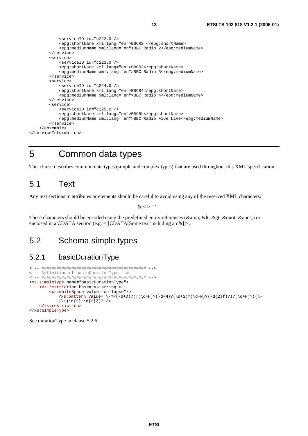```
 <serviceID id="c222.0"/> 
              <epg:shortName xml:lang="en">BBCR2 </epg:shortName> 
              <epg:mediumName xml:lang="en">BBC Radio 2</epg:mediumName> 
         </service> 
         <service> 
             <serviceID id="c223.0"/> 
             <epg:shortName xml:lang="en">BBCR3</epg:shortName> 
             <epg:mediumName xml:lang="en">BBC Radio 3</epg:mediumName> 
         </service> 
         <service> 
             <serviceID id="c224.0"/> 
             <epg:shortName xml:lang="en">BBCR4</epg:shortName> 
              <epg:mediumName xml:lang="en">BBC Radio 4</epg:mediumName> 
         </service> 
         <service> 
             <serviceID id="c225.0"/> 
             <epg:shortName xml:lang="en">BBC5L</epg:shortName> 
              <epg:mediumName xml:lang="en">BBC Radio Five Live</epg:mediumName> 
         </service> 
     </ensemble> 
</serviceInformation>
```
## 5 Common data types

This clause describes common data types (simple and complex types) that are used throughout this XML specification.

### 5.1 Text

Any text sections in attributes or elements should be careful to avoid using any of the reserved XML characters:

 $\&$  < > " '

These characters should be encoded using the predefined entity references ( $\&$ amp;  $\&$ lt;  $\&$ gt;  $\&$ quot;  $\&$ apos;) or enclosed in a CDATA section (e.g. <![CDATA[Some text including an &]]>.

## 5.2 Schema simple types

### 5.2.1 basicDurationType

```
<!-- ########################################## --> 
<!-- Definition of basicDurationType --> 
<!-- ########################################## --> 
<xs:simpleType name="basicDurationType"> 
     <xs:restriction base="xs:string"> 
          <xs:whiteSpace value="collapse"/> 
             \langle x \rangle <xs:pattern value="\-?P(\d+D)?(T(\d+H)?(\d+M)?(\d+S)?(\d+N)?(\d{2}f)?)?(\d+F)?((\-
             |\ \rangle + \rangle \{2\} : \{2\} Z ? "/>
     </xs:restriction> 
</xs:simpleType>
```
See durationType in clause 5.2.6.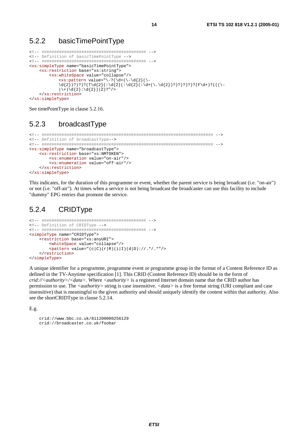### 5.2.2 basicTimePointType

```
<!-- ########################################## --> 
<!-- Definition of basicTimePointType --> 
<!-- ########################################## --> 
<xs:simpleType name="basicTimePointType"> 
     <xs:restriction base="xs:string"> 
          <xs:whiteSpace value="collapse"/> 
              \langle x s : pattern value = "\{-?(\d+(\d+(\d+d)^2))\ \cdot\d{2};)?)?)?(T\d{2}(:\d{2})(:\d{2})(:\d{2})(:\d{2})(:\d{2})(:\d{2})?)?)?)?)?)?(F\d{+})?(((\-
              |\ \rangle + \rangle \d{2}: \d{2} ) | Z)?" />
     </xs:restriction> 
</xs:simpleType>
```
See timePointType in clause 5.2.16.

### 5.2.3 broadcastType

```
<!-- ##################################################################### --> 
<!-- Definition of broadcastType--> 
<!-- ##################################################################### --> 
<xs:simpleType name="broadcastType"> 
     <xs:restriction base="xs:NMTOKEN"> 
         <xs:enumeration value="on-air"/> 
         <xs:enumeration value="off-air"/> 
     </xs:restriction> 
</xs:simpleType>
```
This indicates, for the duration of this programme or event, whether the parent service is being broadcast (i.e. "on-air") or not (i.e. "off-air"). At times when a service is not being broadcast the broadcaster can use this facility to include "dummy" EPG entries that promote the service.

### 5.2.4 CRIDType

```
<!-- ########################################## --> 
<!-- Definition of CRIDType --> 
<!-- ########################################## --> 
<simpleType name="CRIDType"> 
     <restriction base="xs:anyURI"> 
         <whiteSpace value="collapse"/> 
        \tau value="(c|C)(r|R)(i|I)(d|D)://.*/.*"/>
     </restriction> 
</simpleType>
```
A unique identifier for a programme, programme event or programme group in the format of a Content Reference ID as defined in the TV-Anytime specification [1]. This CRID (Content Reference ID) should be in the form of *crid://<authority>/<data>*. Where *<authority>* is a registered Internet domain name that the CRID author has permission to use. The *<authority>* string is case insensitive. *<data>* is a free format string (URI compliant and case insensitive) that is meaningful to the given authority and should uniquely identify the content within that authority. Also see the shortCRIDType in clause 5.2.14.

E.g.

```
 crid://www.bbc.co.uk/811200000256129 
 crid://broadcaster.co.uk/foobar
```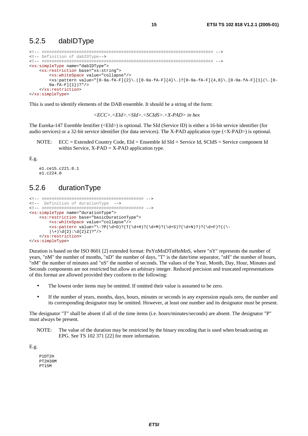### 5.2.5 dabIDType

```
<!-- ##################################################################### --> 
<!-- Definition of dabIDType--> 
<!-- ##################################################################### --> 
<xs:simpleType name="dabIDType"> 
     <xs:restriction base="xs:string"> 
         <xs:whiteSpace value="collapse"/> 
        \langle x \rangle <xs:pattern value="[0-9a-fA-F]{2}\.([0-9a-fA-F]{4}\.)?[0-9a-fA-F]{4,8}\.[0-9a-fA-F]{1}(\.[0-
        9a-fA-F]{1})?"/> 
     </xs:restriction> 
</xs:simpleType>
```
This is used to identify elements of the DAB ensemble. It should be a string of the form:

*<ECC>.<EId>.<SId>.<SCIdS>.<X-PAD> in hex* 

The Eureka-147 Esemble Ientifier (<EId>) is optional. The SId (Service ID) is either a 16-bit service identifier (for audio services) or a 32-bit service identifier (for data services). The X-PAD application type (<X-PAD>) is optional.

NOTE: ECC = Extended Country Code, EId = Ensemble Id SId = Service Id, SCIdS = Service component Id within Service,  $X-PAD = X-PAD$  application type.

E.g.

```
 e1.ce15.c221.0.1 
 e1.c224.0
```
### 5.2.6 durationType

```
<!-- ######################################### --> 
<!-- Definition of durationType --> 
<!-- ######################################### --> 
<xs:simpleType name="durationType"> 
     <xs:restriction base="basicDurationType"> 
         <xs:whiteSpace value="collapse"/> 
         \langle x s : pattern value = "\ -?P(\d+D)?(T(\d+H)?(\d+M)?(\d+S)?(\d+N?)(\d+F)?(|\setminus + \rangle \d{2} : \d{2}Z)?"/>
     </xs:restriction> 
</xs:simpleType>
```
Duration is based on the ISO 8601 [2] extended format: PnYnMnDTnHnMnS, where "nY" represents the number of years, "nM" the number of months, "nD" the number of days, "T" is the date/time separator, "nH" the number of hours, "nM" the number of minutes and "nS" the number of seconds. The values of the Year, Month, Day, Hour, Minutes and Seconds components are not restricted but allow an arbitrary integer. Reduced precision and truncated representations of this format are allowed provided they conform to the following:

- The lowest order items may be omitted. If omitted their value is assumed to be zero.
- If the number of years, months, days, hours, minutes or seconds in any expression equals zero, the number and its corresponding designator may be omitted. However, at least one number and its designator must be present.

The designator "T" shall be absent if all of the time items (i.e. hours/minutes/seconds) are absent. The designator "P" must always be present.

NOTE: The value of the duration may be restricted by the binary encoding that is used when broadcasting an EPG. See TS 102 371 [22] for more information.

E.g.

 P1DT2H PT2H30M PT15M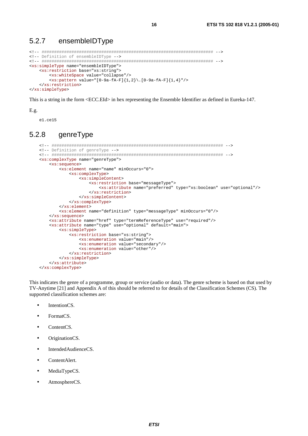#### 5.2.7 ensembleIDType

```
<!-- Definition of ensembleIDType -->
<xs:simpleType name="ensembleIDType">
 <xs:restriction base="xs:string">
   <xs:whiteSpace value="collapse"/>
   </xs:restriction>
</xs:simpleType>
```
This is a string in the form <ECC.EId> in hex representing the Ensemble Identifier as defined in Eureka-147.

16

 $E.g.$ 

el.cel5

#### genreType  $5.2.8$

```
<!-- Definition of genreType -->
<xs:complexType name="genreType">
   <xs:sequence>
      <xs:element name="name" minOccurs="0">
          <xs:complexType>
             <xs:simpleContent>
                 <xs:restriction base="messageType">
                    <xs:attribute name="preferred" type="xs:boolean" use="optional"/>
                 </xs:restriction>
             </xs:simpleContent>
          </xs:complexType>
       </xs:element>
      <xs:element name="definition" type="messageType" minOccurs="0"/>
   \langle x s : \text{sequence} \rangle<xs:attribute name="href" type="termReferenceType" use="required"/>
   <xs:attribute name="type" use="optional" default="main">
      <xs:simpleType>
          <xs:restriction base="xs:string">
             <xs:enumeration value="main"/>
             <xs:enumeration value="secondary"/>
             <xs:enumeration value="other"/>
          </xs:restriction>
      </xs:simpleType>
   </xs:attribute>
</xs:complexType>
```
This indicates the genre of a programme, group or service (audio or data). The genre scheme is based on that used by TV-Anytime [21] and Appendix A of this should be referred to for details of the Classification Schemes (CS). The supported classification schemes are:

- IntentionCS.  $\bullet$
- FormatCS  $\blacksquare$
- ContentCS.
- OriginationCS.  $\epsilon$
- Intended AudienceCS.  $\bullet$
- ContentAlert.
- MediaTypeCS.  $\bullet$
- AtmosphereCS.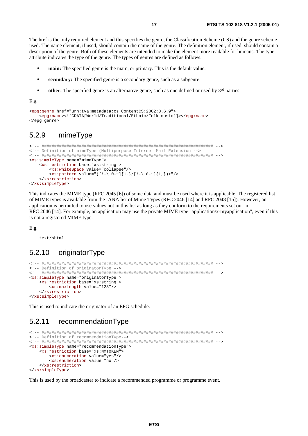The href is the only required element and this specifies the genre, the Classification Scheme (CS) and the genre scheme used. The name element, if used, should contain the name of the genre. The definition element, if used, should contain a description of the genre. Both of these elements are intended to make the element more readable for humans. The type attribute indicates the type of the genre. The types of genres are defined as follows:

 $17$ 

- main: The specified genre is the main, or primary. This is the default value.  $\bullet$
- secondary: The specified genre is a secondary genre, such as a subgenre.  $\ddot{\phantom{a}}$
- other: The specified genre is an alternative genre, such as one defined or used by 3<sup>rd</sup> parties.  $\bullet$

 $E.g.$ 

```
<epg:genre href="urn:tva:metadata:cs:ContentCS:2002:3.6.9">
    <epg:name><![CDATA[World/Traditional/Ethnic/Folk music]]></epg:name>
</epg:genre>
```
#### $529$ mimeTvpe

```
<!-- Definition of mimeType (Multipurpose Internet Mail Extension -->
<xs:simpleType name="mimeType">
  <xs:restriction base="xs:string">
   <xs:whiteSpace value="collapse"/>
    </xs:restriction>
</xs:simpleType>
```
This indicates the MIME type (RFC 2045 [6]) of some data and must be used where it is applicable. The registered list of MIME types is available from the IANA list of Mime Types (RFC 2046 [14] and RFC 2048 [15]). However, an application is permitted to use values not in this list as long as they conform to the requirements set out in RFC 2046 [14]. For example, an application may use the private MIME type "application/x-myapplication", even if this is not a registered MIME type.

 $E.g.$ 

text/shtml

#### $5.2.10$ originatorType

```
<!-- Definition of originatorType -->
<xs:simpleType name="originatorType">
  <xs:restriction base="xs:string">
    <xs:maxLength value="128"/>
  </xs:restriction>
</xs:simpleType>
```
This is used to indicate the originator of an EPG schedule.

#### recommendationType 5.2.11

```
<!-- Definition of recommendationType -- >
<xs:simpleType name="recommendationType">
  <xs:restriction base="xs:NMTOKEN">
    <xs:enumeration value="yes"/>
    <xs:enumeration value="no"/>
  </xs:restriction>
</xs:simpleType>
```
This is used by the broadcaster to indicate a recommended programme or programme event.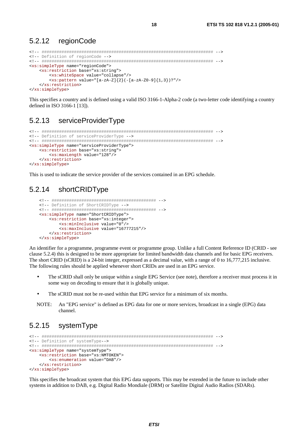#### 5.2.12 regionCode

```
<!-- Definition of regionCode -->
<xs:simpleType name="regionCode">
 <xs:restriction base="xs:string">
   <xs:whiteSpace value="collapse"/>
   </xs:restriction>
</xs:simpleType>
```
This specifies a country and is defined using a valid ISO 3166-1-Alpha-2 code (a two-letter code identifying a country defined in ISO 3166-1 [13]).

#### $5.2.13$ serviceProviderType

```
<!-- Definition of serviceProviderType -->
<xs:simpleType name="serviceProviderType">
  <xs:restriction base="xs:string">
    <xs:maxLength value="128"/>
  </xs:restriction>
</xs:simpleType>
```
This is used to indicate the service provider of the services contained in an EPG schedule.

#### $5214$ shortCRIDTvpe

```
\mbox{\hspace{0.1cm}<\hspace{0.1cm}}\mbox{\hspace{0.1cm}}\mbox{\hspace{0.1cm}}\mbox{\hspace{0.1cm}}\mbox{\hspace{0.1cm}}\mbox{\hspace{0.1cm}}\mbox{\hspace{0.1cm}}\mbox{\hspace{0.1cm}}\mbox{\hspace{0.1cm}}\mbox{\hspace{0.1cm}}\mbox{\hspace{0.1cm}}\mbox{\hspace{0.1cm}}\mbox{\hspace{0.1cm}}\mbox{\hspace{0.1cm}}\mbox{\hspace{0.1cm}}\mbox{\hspace{0.1cm}}\mbox{\hspace{0.1cm}}\mbox{\hspace{<!-- Definition of ShortCRIDType -->
<xs:simpleType name="ShortCRIDType">
        <xs:restriction base="xs:integer">
               <xs:minInclusive value="0"/>
               <xs:maxInclusive value="16777215"/>
       </xs:restriction>
</xs:simpleType>
```
An identifier for a programme, programme event or programme group. Unlike a full Content Reference ID (CRID - see clause 5.2.4) this is designed to be more appropriate for limited bandwidth data channels and for basic EPG receivers. The short CRID (sCRID) is a 24-bit integer, expressed as a decimal value, with a range of 0 to 16,777,215 inclusive. The following rules should be applied whenever short CRIDs are used in an EPG service.

- The sCRID shall only be unique within a single EPG Service (see note), therefore a receiver must process it in  $\bullet$ some way on decoding to ensure that it is globally unique.
- The sCRID must not be re-used within that EPG service for a minimum of six months.  $\bullet$
- NOTE: An "EPG service" is defined as EPG data for one or more services, broadcast in a single (EPG) data channel

#### 5.2.15 systemType

```
<!-- Definition of systemType -- >
<xs:simpleType name="systemType">
  <xs:restriction base="xs:NMTOKEN">
    <xs:enumeration value="DAB"/>
  </xs:restriction>
</xs:simpleType>
```
This specifies the broadcast system that this EPG data supports. This may be extended in the future to include other systems in addition to DAB, e.g. Digital Radio Mondiale (DRM) or Satellite Digital Audio Radios (SDARs).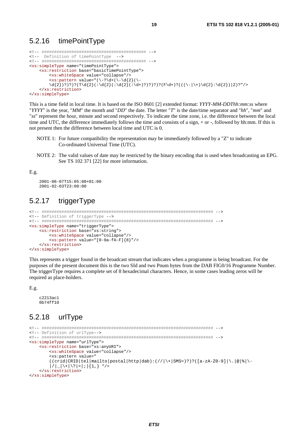### 5.2.16 timePointType

```
<!-- ########################################## --> 
<!-- Definition of timePointType --> 
<!-- ########################################## --> 
<xs:simpleType name="timePointType"> 
     <xs:restriction base="basicTimePointType"> 
         <xs:whiteSpace value="collapse"/> 
        \langle x s : pattern value = "(\{-? \d+ (\d+ \d+2) (\d+\d{2})?)?)?(T\d{2}(:\d{2}(:\d{2}(:\d+)?)?)?)?(F\d+)?(((\-|\+)\d{2}:\d{2})|Z)?"/>
     </xs:restriction> 
</xs:simpleType>
```
This is a time field in local time. It is based on the ISO 8601 [2] extended format: *YYYY-MM-DDThh:mm:ss* where "*YYYY*" is the year, "*MM*" the month and "*DD*" the date. The letter "*T*" is the date/time separator and "*hh*", "*mm*" and "*ss*" represent the hour, minute and second respectively. To indicate the time zone, i.e. the difference between the local time and UTC, the difference immediately follows the time and consists of a sign, + or -, followed by hh:mm. If this is not present then the difference between local time and UTC is 0.

- NOTE 1: For future compatibility the representation may be immediately followed by a "Z" to indicate Co-ordinated Universal Time (UTC).
- NOTE 2: The valid values of date may be restricted by the binary encoding that is used when broadcasting an EPG. See TS 102 371 [22] for more information.

#### E.g.

 2001-06-07T15:05:00+01:00 2001-02-03T23:00:00

### 5.2.17 triggerType

```
<!-- ##################################################################### --> 
<!-- Definition of triggerType --> 
<!-- ##################################################################### --> 
<xs:simpleType name="triggerType"> 
     <xs:restriction base="xs:string"> 
         <xs:whiteSpace value="collapse"/> 
         <xs:pattern value="[0-9a-fA-F]{8}"/> 
     </xs:restriction> 
</xs:simpleType>
```
This represents a trigger found in the broadcast stream that indicates when a programme is being broadcast. For the purposes of the present document this is the two SId and two Pnum bytes from the DAB FIG0/16 Programme Number. The triggerType requires a complete set of 8 hexadecimal characters. Hence, in some cases leading zeros will be required as place-holders.

E.g.

```
 c2213ac1 
 0b74ff10
```
### 5.2.18 urlType

```
<!-- ##################################################################### --> 
<!-- Definition of urlType--> 
<!-- ##################################################################### --> 
<xs:simpleType name="urlType"> 
     <xs:restriction base="xs:anyURI"> 
         <xs:whiteSpace value="collapse"/> 
        <xs:pattern value="
        ((\text{crid}|CRID|tel|mailto|postal|http|dab):///+|SMS=)??([a-zA-Z0-9]|\\.|@||/| |\setminus + |\setminus? | = |; | { 1, } "/>
     </xs:restriction> 
</xs:simpleType>
```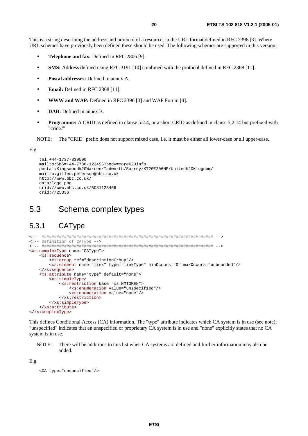This is a string describing the address and protocol of a resource, in the URL format defined in RFC 2396 [3]. Where URL schemes have previously been defined these should be used. The following schemes are supported in this version:

- **Telephone and fax:** Defined in RFC 2806 [9].
- **SMS:** Address defined using RFC 3191 [10] combined with the protocol defined in RFC 2368 [11].
- **Postal addresses:** Defined in annex A.
- **Email:** Defined in RFC 2368 [11].
- **WWW and WAP:** Defined in RFC 2396 [3] and WAP Forum [4].
- **DAB:** Defined in annex B.
- **Programme:** A CRID as defined in clause 5.2.4, or a short CRID as defined in clause 5.2.14 but prefixed with "crid://"

NOTE: The "CRID" prefix does not support mixed case, i.e. it must be either all lower-case or all upper-case.

E.g.

```
 tel:+44-1737-839500 
 mailto:SMS=+44-7788-123456?body=more%20info 
 postal:Kingswood%20Warren/Tadworth/Surrey/KT20%206NP/United%20Kingdom/ 
 mailto:gilles.peterson@bbc.co.uk 
 http://www.bbc.co.uk/ 
 data/logo.png 
 crid://www.bbc.co.uk/BC81123456 
 crid://25336
```
## 5.3 Schema complex types

## 5.3.1 CAType

```
<!-- ##################################################################### --> 
<!-- Definition of CAType --> 
<!-- ##################################################################### --> 
<xs:complexType name="CAType"> 
     <xs:sequence> 
         <xs:group ref="descriptionGroup"/> 
         <xs:element name="link" type="linkType" minOccurs="0" maxOccurs="unbounded"/> 
     </xs:sequence> 
     <xs:attribute name="type" default="none"> 
         <xs:simpleType> 
             <xs:restriction base="xs:NMTOKEN"> 
                  <xs:enumeration value="unspecified"/> 
                  <xs:enumeration value="none"/> 
             </xs:restriction> 
         </xs:simpleType> 
     </xs:attribute> 
</xs:complexType>
```
This defines Conditional Access (CA) information. The "type" attribute indicates which CA system is in use (see note); "unspecified" indicates that an unspecified or proprietary CA system is in use and "none" explicitly states that no CA system is in use.

NOTE: There will be additions to this list when CA systems are defined and further information may also be added.

E.g.

```
 <CA type="unspecified"/>
```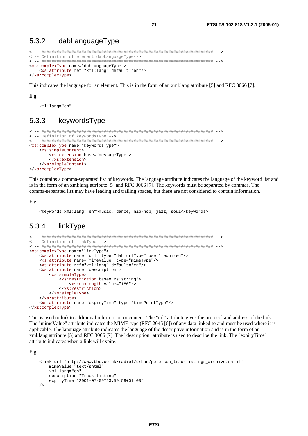#### 5.3.2 dabLanguageType

```
<!-- Definition of element dabLanguageType -- >
<xs:complexType name="dabLanguageType">
 <xs:attribute ref="xml:lang" default="en"/>
</xs:complexType>
```
This indicates the language for an element. This is in the form of an xml:lang attribute [5] and RFC 3066 [7].

#### $E.g.$

xml:lang="en"

#### $5.3.3$ keywordsType

```
<!-- Definition of keywordsType -->
<xs:complexType name="keywordsType">
  \overline{\text{xs}}: simpleContent>
    <xs:extension base="messageType">
    </xs:extension>
  </xs:simpleContent>
</xs:complexType>
```
This contains a comma-separated list of keywords. The language attribute indicates the language of the keyword list and is in the form of an xml:lang attribute [5] and RFC 3066 [7]. The keywords must be separated by commas. The comma-separated list may have leading and trailing spaces, but these are not considered to contain information.

 $E.g.$ 

<keywords xml:lang="en">music, dance, hip-hop, jazz, soul</keywords>

#### linkType 5.3.4

```
<!-- Definition of linkType -->
<xs:complexType name="linkType">
   <xs:attribute name="url" type="dab:urlType" use="required"/>
   <xs:attribute name="mimeValue" type="mimeType"/>
   <xs:attribute ref="xml:lang" default="en"/>
   <xs:attribute name="description">
      <xs:simpleType>
         <xs:restriction base="xs:string">
            <xs:maxLength value="180"/>
         </xs:restriction>
      </xs:simpleType>
   \frac{2}{x}s: attribute>
   <xs:attribute name="expiryTime" type="timePointType"/>
</xs:complexType>
```
This is used to link to additional information or content. The "url" attribute gives the protocol and address of the link. The "mimeValue" attribute indicates the MIME type (RFC 2045 [6]) of any data linked to and must be used where it is applicable. The language attribute indicates the language of the descriptive information and is in the form of an xml:lang attribute [5] and RFC 3066 [7]. The "description" attribute is used to describe the link. The "expiryTime" attribute indicates when a link will expire.

 $E.g.$ 

```
<link url="http://www.bbc.co.uk/radio1/urban/peterson_tracklistings_archive.shtml"
    mimeValue="text/shtml"
    xml:lang="en"
    description="Track listing"
    expiryTime="2001-07-09T23:59:59+01:00"
\sqrt{2}
```
 $21$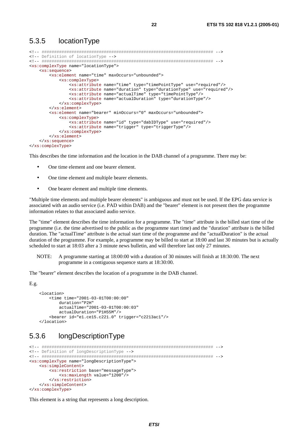### 5.3.5 locationType

```
<!-- ##################################################################### --> 
<!-- Definition of locationType --> 
<!-- ##################################################################### --> 
<xs:complexType name="locationType"> 
     <xs:sequence> 
         <xs:element name="time" maxOccurs="unbounded"> 
             <xs:complexType> 
                 <xs:attribute name="time" type="timePointType" use="required"/> 
                 <xs:attribute name="duration" type="durationType" use="required"/> 
                  <xs:attribute name="actualTime" type="timePointType"/> 
                 <xs:attribute name="actualDuration" type="durationType"/> 
             </xs:complexType> 
         </xs:element> 
         <xs:element name="bearer" minOccurs="0" maxOccurs="unbounded"> 
             <xs:complexType> 
                 <xs:attribute name="id" type="dabIDType" use="required"/> 
                 <xs:attribute name="trigger" type="triggerType"/> 
             </xs:complexType> 
         </xs:element> 
     </xs:sequence> 
</xs:complexType>
```
This describes the time information and the location in the DAB channel of a programme. There may be:

- One time element and one bearer element.
- One time element and multiple bearer elements.
- One bearer element and multiple time elements.

"Multiple time elements and multiple bearer elements" is ambiguous and must not be used. If the EPG data service is associated with an audio service (i.e. PAD within DAB) and the "bearer" element is not present then the programme information relates to that associated audio service.

The "time" element describes the time information for a programme. The "time" attribute is the billed start time of the programme (i.e. the time advertised to the public as the programme start time) and the "duration" attribute is the billed duration. The "actualTime" attribute is the actual start time of the programme and the "actualDuration" is the actual duration of the programme. For example, a programme may be billed to start at 18:00 and last 30 minutes but is actually scheduled to start at 18:03 after a 3 minute news bulletin, and will therefore last only 27 minutes.

NOTE: A programme starting at 18:00:00 with a duration of 30 minutes will finish at 18:30:00. The next programme in a contiguous sequence starts at 18:30:00.

The "bearer" element describes the location of a programme in the DAB channel.

```
E.g.
```

```
 <location> 
     <time time="2001-03-01T00:00:00" 
         duration="P2H" 
         actualTime="2001-03-01T00:00:03" 
         actualDuration="P1H55M"/> 
     <bearer id="e1.ce15.c221.0" trigger="c2213ac1"/> 
 </location>
```
### 5.3.6 longDescriptionType

```
<!-- ##################################################################### --> 
<!-- Definition of longDescriptionType --> 
<!-- ##################################################################### --> 
<xs:complexType name="longDescriptionType"> 
     <xs:simpleContent> 
        <xs:restriction base="messageType"> 
             <xs:maxLength value="1200"/> 
         </xs:restriction> 
     </xs:simpleContent> 
</xs:complexType>
```
This element is a string that represents a long description.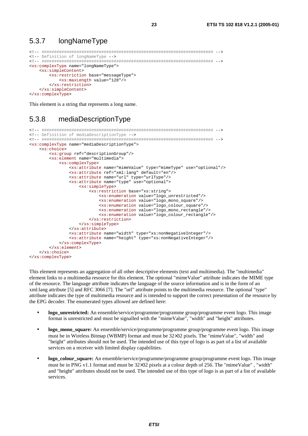#### 5.3.7 longNameType

```
<!-- Definition of longNameType -->
<xs:complexType name="longNameType">
  <xs:simpleContent>
    <xs:restriction base="messageType">
      <xs:maxLength value="128"/>
    </xs:restriction>
  </xs:simpleContent>
</xs:complexType>
```
This element is a string that represents a long name.

#### 5.3.8 mediaDescriptionType

```
<!-- Definition of mediaDescriptionType -->
<xs:complexType name="mediaDescriptionType">
   <xs:choice>
       <xs:group ref="descriptionGroup"/>
       <xs:element name="multimedia">
          <xs:complexType>
              <xs:attribute name="mimeValue" type="mimeType" use="optional"/>
              <xs:attribute ref="xml:lang" default="en"/>
              <xs:attribute name="url" type="urlType"/>
              <xs:attribute name="type" use="optional">
                 <xs:simpleType>
                    <xs:restriction base="xs:string">
                        <xs:enumeration value="logo_unrestricted"/>
                        <xs:enumeration value="logo_mono_square"/>
                        <xs:enumeration value="logo colour square"/>
                        <xs:enumeration value="logo_mono_rectangle"/>
                        <xs:enumeration value="logo_colour_rectangle"/>
                    </xs:restriction>
                 </xs:simpleType>
              \frac{2}{x}s: attribute>
              <xs:attribute name="width" type="xs:nonNegativeInteger"/>
              <xs:attribute name="height" type="xs:nonNegativeInteger"/>
          </xs:complexType>
       \langle x s :element>
   \frac{1}{2}</xs:complexType>
```
This element represents an aggregation of all other descriptive elements (text and multimedia). The "multimedia" element links to a multimedia resource for this element. The optional "mime Value" attribute indicates the MIME type of the resource. The language attribute indicates the language of the source information and is in the form of an xml:lang attribute [5] and RFC 3066 [7]. The "url" attribute points to the multimedia resource. The optional "type" attribute indicates the type of multimedia resource and is intended to support the correct presentation of the resource by the EPG decoder. The enumerated types allowed are defined here:

- **logo** unrestricted: An ensemble/service/programme/programme group/programme event logo. This image format is unrestricted and must be signalled with the "mime Value", "width" and "height" attributes.
- logo\_mono\_square: An ensemble/service/programme/programme group/programme event logo. This image must be in Wireless Bitmap (WBMP) format and must be 32×32 pixels. The "mimeValue", "width" and "height" attributes should not be used. The intended use of this type of logo is as part of a list of available services on a receiver with limited display capabilities.
- logo\_colour\_square: An ensemble/service/programme/programme group/programme event logo. This image must be in PNG v1.1 format and must be 32×32 pixels at a colour depth of 256. The "mimeValue", "width" and "height" attributes should not be used. The intended use of this type of logo is as part of a list of available services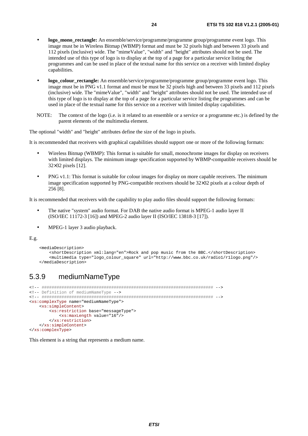- **logo\_mono\_rectangle:** An ensemble/service/programme/programme group/programme event logo. This image must be in Wireless Bitmap (WBMP) format and must be 32 pixels high and between 33 pixels and 112 pixels (inclusive) wide. The "mimeValue", "width" and "height" attributes should not be used. The intended use of this type of logo is to display at the top of a page for a particular service listing the programmes and can be used in place of the textual name for this service on a receiver with limited display capabilities.
- **logo\_colour\_rectangle:** An ensemble/service/programme/programme group/programme event logo. This image must be in PNG v1.1 format and must be must be 32 pixels high and between 33 pixels and 112 pixels (inclusive) wide. The "mimeValue", "width" and "height" attributes should not be used. The intended use of this type of logo is to display at the top of a page for a particular service listing the programmes and can be used in place of the textual name for this service on a receiver with limited display capabilities.
- NOTE: The context of the logo (i.e. is it related to an ensemble or a service or a programme etc.) is defined by the parent elements of the multimedia element.

The optional "width" and "height" attributes define the size of the logo in pixels.

It is recommended that receivers with graphical capabilities should support one or more of the following formats:

- Wireless Bitmap (WBMP): This format is suitable for small, monochrome images for display on receivers with limited displays. The minimum image specification supported by WBMP-compatible receivers should be 32×32 pixels [12].
- PNG v1.1: This format is suitable for colour images for display on more capable receivers. The minimum image specification supported by PNG-compatible receivers should be 32×32 pixels at a colour depth of 256 [8].

It is recommended that receivers with the capability to play audio files should support the following formats:

- The native "system" audio format. For DAB the native audio format is MPEG-1 audio layer II (ISO/IEC 11172-3 [16]) and MPEG-2 audio layer II (ISO/IEC 13818-3 [17]).
- MPEG-1 layer 3 audio playback.

E.g.

```
 <mediaDescription> 
     <shortDescription xml:lang="en">Rock and pop music from the BBC.</shortDescription> 
     <multimedia type="logo_colour_square" url="http://www.bbc.co.uk/radio1/r1logo.png"/> 
 </mediaDescription>
```
### 5.3.9 mediumNameType

```
<!-- ##################################################################### --> 
<!-- Definition of mediumNameType --> 
<!-- ##################################################################### --> 
<xs:complexType name="mediumNameType"> 
     <xs:simpleContent> 
         <xs:restriction base="messageType"> 
             <xs:maxLength value="16"/> 
         </xs:restriction> 
     </xs:simpleContent> 
</xs:complexType>
```
This element is a string that represents a medium name.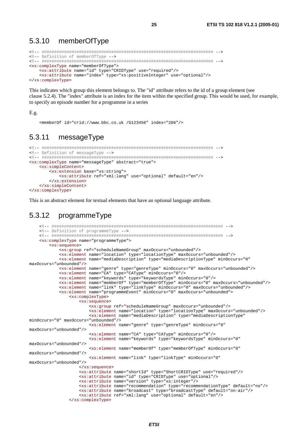#### 5.3.10 memberOfType

```
<!-- ##################################################################### --> 
<!-- Definition of memberOfType --> 
<!-- ##################################################################### --> 
<xs:complexType name="memberOfType"> 
     <xs:attribute name="id" type="CRIDType" use="required"/> 
     <xs:attribute name="index" type="xs:positiveInteger" use="optional"/> 
</xs:complexType>
```
This indicates which group this element belongs to. The "id" attribute refers to the id of a group element (see clause 5.2.4). The "index" attribute is an index for the item within the specified group. This would be used, for example, to specify an episode number for a programme in a series

#### E.g.

```
 <memberOf id="crid://www.bbc.co.uk /G123456" index="206"/>
```
#### 5.3.11 messageType

```
<!-- ##################################################################### --> 
<!-- Definition of messageType --> 
<!-- ##################################################################### --> 
<xs:complexType name="messageType" abstract="true"> 
     <xs:simpleContent> 
         <xs:extension base="xs:string"> 
             <xs:attribute ref="xml:lang" use="optional" default="en"/> 
         </xs:extension> 
     </xs:simpleContent> 
</xs:complexType>
```
This is an abstract element for textual elements that have an optional language attribute.

### 5.3.12 programmeType

```
 <!-- ##################################################################### --> 
     <!-- Definition of programmeType --> 
     <!-- ##################################################################### --> 
     <xs:complexType name="programmeType"> 
         <xs:sequence> 
             <xs:group ref="scheduleNameGroup" maxOccurs="unbounded"/> 
             <xs:element name="location" type="locationType" maxOccurs="unbounded"/> 
             <xs:element name="mediaDescription" type="mediaDescriptionType" minOccurs="0" 
maxOccurs="unbounded"/> 
             <xs:element name="genre" type="genreType" minOccurs="0" maxOccurs="unbounded"/> 
             <xs:element name="CA" type="CAType" minOccurs="0"/> 
             <xs:element name="keywords" type="keywordsType" minOccurs="0"/> 
             <xs:element name="memberOf" type="memberOfType" minOccurs="0" maxOccurs="unbounded"/> 
             <xs:element name="link" type="linkType" minOccurs="0" maxOccurs="unbounded"/> 
             <xs:element name="programmeEvent" minOccurs="0" maxOccurs="unbounded"> 
                 <xs:complexType> 
                      <xs:sequence> 
                          <xs:group ref="scheduleNameGroup" maxOccurs="unbounded"/> 
                          <xs:element name="location" type="locationType" maxOccurs="unbounded"/> 
                          <xs:element name="mediaDescription" type="mediaDescriptionType" 
minOccurs="0" maxOccurs="unbounded"/> 
                          <xs:element name="genre" type="genreType" minOccurs="0" 
maxOccurs="unbounded"/> 
                          <xs:element name="CA" type="CAType" minOccurs="0"/> 
                          <xs:element name="keywords" type="keywordsType" minOccurs="0" 
maxOccurs="unbounded"/> 
                          <xs:element name="memberOf" type="memberOfType" minOccurs="0" 
maxOccurs="unbounded"/> 
                          <xs:element name="link" type="linkType" minOccurs="0" 
maxOccurs="unbounded"/> 
                      </xs:sequence> 
                      <xs:attribute name="shortId" type="ShortCRIDType" use="required"/> 
                      <xs:attribute name="id" type="CRIDType" use="optional"/> 
                     <xs:attribute name="version" type="xs:integer"/> 
                      <xs:attribute name="recommendation" type="recommendationType" default="no"/> 
                      <xs:attribute name="broadcast" type="broadcastType" default="on-air"/> 
                      <xs:attribute ref="xml:lang" use="optional" default="en"/> 
                 </xs:complexType>
```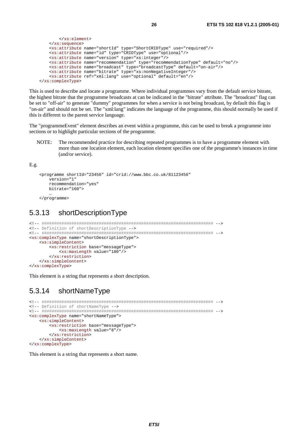```
 </xs:element> 
     </xs:sequence> 
     <xs:attribute name="shortId" type="ShortCRIDType" use="required"/> 
     <xs:attribute name="id" type="CRIDType" use="optional"/> 
     <xs:attribute name="version" type="xs:integer"/> 
     <xs:attribute name="recommendation" type="recommendationType" default="no"/> 
     <xs:attribute name="broadcast" type="broadcastType" default="on-air"/> 
     <xs:attribute name="bitrate" type="xs:nonNegativeInteger"/> 
     <xs:attribute ref="xml:lang" use="optional" default="en"/> 
 </xs:complexType>
```
This is used to describe and locate a programme. Where individual programmes vary from the default service bitrate, the highest bitrate that the programme broadcasts at can be indicated in the "bitrate" attribute. The "broadcast" flag can be set to "off-air" to generate "dummy" programmes for when a service is not being broadcast, by default this flag is "on-air" and should not be set. The "xml:lang" indicates the language of the programme, this should normally be used if this is different to the parent service language.

The "programmeEvent" element describes an event within a programme, this can be used to break a programme into sections or to highlight particular sections of the programme.

NOTE: The recommended practice for describing repeated programmes is to have a programme element with more than one location element, each location element specifies one of the programme's instances in time (and/or service).

E.g.

```
 <programme shortId="23456" id="crid://www.bbc.co.uk/81123456" 
        version="1" 
        recommendation="yes" 
        bitrate="160"> 
 …
```
</programme>

### 5.3.13 shortDescriptionType

```
<!-- ##################################################################### --> 
<!-- Definition of shortDescriptionType --> 
<!-- ##################################################################### --> 
<xs:complexType name="shortDescriptionType"> 
     <xs:simpleContent> 
         <xs:restriction base="messageType"> 
             <xs:maxLength value="180"/> 
         </xs:restriction> 
     </xs:simpleContent> 
</xs:complexType>
```
This element is a string that represents a short description.

### 5.3.14 shortNameType

```
<!-- ##################################################################### --> 
<!-- Definition of shortNameType --> 
<!-- ##################################################################### --> 
<xs:complexType name="shortNameType"> 
     <xs:simpleContent> 
         <xs:restriction base="messageType"> 
            <xs:maxLength value="8"/> 
         </xs:restriction> 
     </xs:simpleContent> 
</xs:complexType>
```
This element is a string that represents a short name.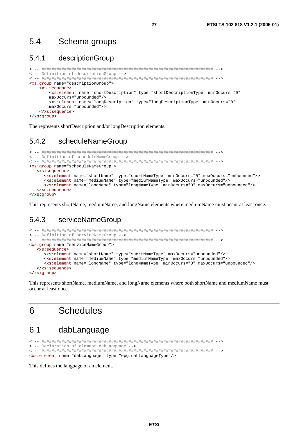#### $5.4$ Schema groups

#### $5.4.1$ descriptionGroup

```
<!-- Definition of descriptionGroup -->
<xs:group name="descriptionGroup">
  <xs:sequence>
     <xs:element name="shortDescription" type="shortDescriptionType" minOccurs="0"
     maxOccurs="unbounded"/>
     <xs:element name="longDescription" type="longDescriptionType" minOccurs="0"
     maxOccurs="unbounded"</xs:sequence>
</xs:group>
```
27

The represents shortDescription and/or longDescription elements.

#### 542 scheduleNameGroup

```
<!-- Definition of scheduleNameGroup -->
<xs:group name="scheduleNameGroup">
  <xs:sequence>
    <xs:element name="shortName" type="shortNameType" minOccurs="0" maxOccurs="unbounded"/>
    <xs:element name="mediumName" type="mediumNameType" maxOccurs="unbounded"/>
    <xs:element name="longName" type="longNameType" minOccurs="0" maxOccurs="unbounded"/>
  \langle xs:sequence>
</xs:group>
```
This represents shortName, mediumName, and longName elements where mediumName must occur at least once.

#### 543 serviceNameGroup

```
<!-- Definition of serviceNameGroup -->
<xs:group name="serviceNameGroup">
  <xs:sequence>
    <xs:element name="shortName" type="shortNameType" maxOccurs="unbounded"/>
    <xs:element name="mediumName" type="mediumNameType" maxOccurs="unbounded"/>
    <xs:element name="longName" type="longNameType" minOccurs="0" maxOccurs="unbounded"/>
  </xs:sequence>
</xs:group>
```
This represents shortName, mediumName, and longName elements where both shortName and mediumName must occur at least once.

#### **Schedules** 6

#### $6.1$ dabLanguage

```
<!-- Declaration of element dabLanguage -->
<xs:element name="dabLanguage" type="epg:dabLanguageType"/>
```
This defines the language of an element.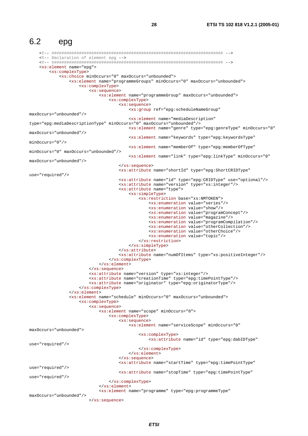$6.2$ epg <!-- Declaration of element epg --> <xs:element name="epq"> <xs:complexType> <xs:choice minOccurs="0" maxOccurs="unbounded"> <xs:element name="programmeGroups" minOccurs="0" maxOccurs="unbounded"> <xs:complexType> <xs:sequence> <xs:element name="programmeGroup" maxOccurs="unbounded"> <xs:complexType> <xs:sequence> <xs:group ref="epq:scheduleNameGroup" max0ccurs="unbounded"/> <xs:element name="mediaDescription" type="epg:mediaDescriptionType" minOccurs="0" maxOccurs="unbounded"/> <xs:element name="genre" type="epg:genreType" minOccurs="0" maxOccurs="unbounded"/> <xs:element name="keywords" type="epg:keywordsType"  $minOccurs="0"$ /> <xs:element name="memberOf" type="epq:memberOfType" minOccurs="0" maxOccurs="unbounded"/> <xs:element name="link" type="epg:linkType" minOccurs="0" maxOccurs="unbounded"/> </xs:sequence> <xs:attribute name="shortId" type="epq:ShortCRIDType"  $\frac{1}{2}$ <xs:attribute name="id" type="epg:CRIDType" use="optional"/> <xs:attribute name="version" type="xs:integer"/> <xs:attribute name="type"> <xs:simpleType> <xs:restriction base="xs:NMTOKEN"> <xs:enumeration value="series"/> <xs:enumeration value="show"/> <xs:enumeration value="programConcept"/> <xs:enumeration value="magazine"/> <xs:enumeration value="programCompilation"/> <xs:enumeration value="otherCollection"/> <xs:enumeration value="otherChoice"/> <xs:enumeration value="topic"/> </xs:restriction> </xs:simpleType> </xs:attribute> <xs:attribute name="numOfItems" type="xs:positiveInteger"/> </xs:complexType> </xs:element> </xs:sequence> <xs:attribute name="version" type="xs:integer"/> <xs'attribute name="creationTime" type="epg:timePointType"/> <xs:attribute name="originator" type="epg:originatorType"/> </xs:complexType>  $\langle x s : \text{element} \rangle$ <xs:element name="schedule" minOccurs="0" maxOccurs="unbounded"> <xs:complexType> <xs:sequence> <xs:element name="scope" minOccurs="0"> <xs:complexType> <xs:sequence> <xs:element name="serviceScope" minOccurs="0" max0ccurs="unbounded"> <xs:complexType> <xs:attribute name="id" type="epg:dabIDType" use="required"/> </xs:complexType>  $\langle xs :$ element>  $\langle x s : \text{sequence} \rangle$ <xs:attribute name="startTime" type="epg:timePointType" use="required"/> <xs:attribute name="stopTime" type="epq:timePointType"  $use="remired'/$ </xs:complexType> </xs:element> <xs:element name="programme" type="epg:programmeType" maxOccurs="unbounded"/>  $\langle xs : \text{sequence} \rangle$ 

28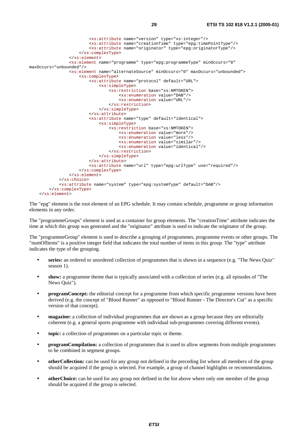```
 <xs:attribute name="version" type="xs:integer"/> 
                           <xs:attribute name="creationTime" type="epg:timePointType"/> 
                           <xs:attribute name="originator" type="epg:originatorType"/> 
                      </xs:complexType> 
                  </xs:element> 
                  <xs:element name="programme" type="epg:programmeType" minOccurs="0" 
maxOccurs="unbounded"/> 
                  <xs:element name="alternateSource" minOccurs="0" maxOccurs="unbounded"> 
                      <xs:complexType> 
                           <xs:attribute name="protocol" default="URL"> 
                               <xs:simpleType> 
                                   <xs:restriction base="xs:NMTOKEN"> 
                                        <xs:enumeration value="DAB"/> 
                                        <xs:enumeration value="URL"/> 
                                   </xs:restriction> 
                               </xs:simpleType> 
                           </xs:attribute> 
                           <xs:attribute name="type" default="identical"> 
                               <xs:simpleType> 
                                   <xs:restriction base="xs:NMTOKEN"> 
                                        <xs:enumeration value="more"/> 
                                        <xs:enumeration value="less"/> 
                                        <xs:enumeration value="similar"/> 
                                        <xs:enumeration value="identical"/> 
                                   </xs:restriction> 
                               </xs:simpleType> 
                           </xs:attribute> 
                           <xs:attribute name="url" type="epg:urlType" use="required"/> 
                      </xs:complexType> 
                  </xs:element> 
              </xs:choice> 
              <xs:attribute name="system" type="epg:systemType" default="DAB"/> 
         </xs:complexType> 
     </xs:element>
```
The "epg" element is the root element of an EPG schedule. It may contain schedule, programme or group information elements in any order.

The "programmeGroups" element is used as a container for group elements. The "creationTime" attribute indicates the time at which this group was generated and the "originator" attribute is used to indicate the originator of the group.

The "programmeGroup" element is used to describe a grouping of programmes, programme events or other groups. The "numOfItems" is a positive integer field that indicates the total number of items in this group. The "type" attribute indicates the type of the grouping.

- **series:** an ordered or unordered collection of programmes that is shown in a sequence (e.g. "The News Quiz" season 1).
- **show:** a programme theme that is typically associated with a collection of series (e.g. all episodes of "The News Quiz").
- **programConcept:** the editorial concept for a programme from which specific programme versions have been derived (e.g. the concept of "Blood Runner" as opposed to "Blood Runner - The Director's Cut" as a specific version of that concept).
- **magazine:** a collection of individual programmes that are shown as a group because they are editorially coherent (e.g. a general sports programme with individual sub-programmes covering different events).
- **topic:** a collection of programmes on a particular topic or theme.
- **programCompilation:** a collection of programmes that is used to allow segments from multiple programmes to be combined in segment groups.
- **otherCollection:** can be used for any group not defined in the preceding list where all members of the group should be acquired if the group is selected. For example, a group of channel highlights or recommendations.
- **otherChoice:** can be used for any group not defined in the list above where only one member of the group should be acquired if the group is selected.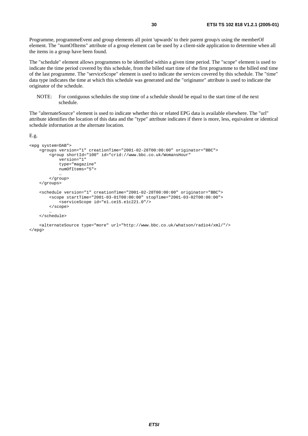Programme, programmeEvent and group elements all point 'upwards' to their parent group/s using the memberOf element. The "numOfItems" attribute of a group element can be used by a client-side application to determine when all the items in a group have been found.

The "schedule" element allows programmes to be identified within a given time period. The "scope" element is used to indicate the time period covered by this schedule, from the billed start time of the first programme to the billed end time of the last programme. The "serviceScope" element is used to indicate the services covered by this schedule. The "time" data type indicates the time at which this schedule was generated and the "originator" attribute is used to indicate the originator of the schedule.

NOTE: For contiguous schedules the stop time of a schedule should be equal to the start time of the next schedule.

The "alternateSource" element is used to indicate whether this or related EPG data is available elsewhere. The "url" attribute identifies the location of this data and the "type" attribute indicates if there is more, less, equivalent or identical schedule information at the alternate location.

E.g.

```
<epg system=DAB"> 
     <groups version="1" creationTime="2001-02-28T00:00:00" originator="BBC"> 
         <group shortId="100" id="crid://www.bbc.co.uk/WomansHour" 
             version="1" 
             type="magazine" 
             numOfItems="5"> 
 … 
         </group> 
     </groups> 
     <schedule version="1" creationTime="2001-02-28T00:00:00" originator="BBC"> 
         <scope startTime="2001-03-01T00:00:00" stopTime="2001-03-02T00:00:00"> 
            -<br><serviceScope id="e1.ce15.e1c221.0"/>
         </scope> 
 … 
     </schedule>
```
 <alternateSource type="more" url="http://www.bbc.co.uk/whatson/radio4/xml/"/> </epg>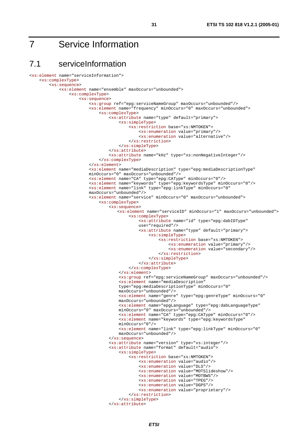## 7 Service Information

### 7.1 serviceInformation

```
<xs:element name="serviceInformation"> 
     <xs:complexType> 
         <xs:sequence> 
             <xs:element name="ensemble" maxOccurs="unbounded"> 
                 <xs:complexType> 
                      <xs:sequence> 
                          <xs:group ref="epg:serviceNameGroup" maxOccurs="unbounded"/> 
                          <xs:element name="frequency" minOccurs="0" maxOccurs="unbounded"> 
                               <xs:complexType> 
                                   <xs:attribute name="type" default="primary"> 
                                       <xs:simpleType> 
                                           <xs:restriction base="xs:NMTOKEN"> 
                                                <xs:enumeration value="primary"/> 
                                                <xs:enumeration value="alternative"/> 
                                           </xs:restriction> 
                                       </xs:simpleType> 
                                   </xs:attribute> 
                                   <xs:attribute name="kHz" type="xs:nonNegativeInteger"/> 
                              </xs:complexType> 
                          </xs:element> 
                         <xs:element name="mediaDescription" type="epg:mediaDescriptionType" 
                         minOccurs="0" maxOccurs="unbounded"/> 
                          <xs:element name="CA" type="epg:CAType" minOccurs="0"/> 
                          <xs:element name="keywords" type="epg:keywordsType" minOccurs="0"/> 
                         <xs:element name="link" type="epg:linkType" minOccurs="0" 
                         maxOccurs="unbounded"/> 
                          <xs:element name="service" minOccurs="0" maxOccurs="unbounded"> 
                              <xs:complexType> 
                                   <xs:sequence> 
                                     <xs:element name="serviceID" minOccurs="1" maxOccurs="unbounded"> 
                                            <xs:complexType> 
                                               <xs:attribute name="id" type="epg:dabIDType" 
                                               use="required"/> 
                                                <xs:attribute name="type" default="primary"> 
                                                    <xs:simpleType> 
                                                        <xs:restriction base="xs:NMTOKEN"> 
                                                            <xs:enumeration value="primary"/> 
                                                            <xs:enumeration value="secondary"/> 
                                                        </xs:restriction> 
                                                    </xs:simpleType> 
                                                </xs:attribute> 
                                           </xs:complexType> 
                                       </xs:element> 
                                       <xs:group ref="epg:serviceNameGroup" maxOccurs="unbounded"/> 
                                      <xs:element name="mediaDescription" 
                                      type="epg:mediaDescriptionType" minOccurs="0" 
                                      maxOccurs="unbounded"/> 
                                      <xs:element name="genre" type="epg:genreType" minOccurs="0" 
                                      maxOccurs="unbounded"/> 
                                      <xs:element name="epgLanguage" type="epg:dabLanguageType" 
                                      minOccurs="0" maxOccurs="unbounded"/> 
                                      <xs:element name="CA" type="epg:CAType" minOccurs="0"/> 
                                      <xs:element name="keywords" type="epg:keywordsType" 
                                      minOccurs="0"/> 
                                      <xs:element name="link" type="epg:linkType" minOccurs="0" 
                                      maxOccurs="unbounded"/> 
                                   </xs:sequence> 
                                   <xs:attribute name="version" type="xs:integer"/> 
                                   <xs:attribute name="format" default="audio"> 
                                       <xs:simpleType> 
                                            <xs:restriction base="xs:NMTOKEN"> 
                                                <xs:enumeration value="audio"/> 
                                                <xs:enumeration value="DLS"/> 
                                                <xs:enumeration value="MOTSlideshow"/> 
                                                <xs:enumeration value="MOTBWS"/> 
                                                <xs:enumeration value="TPEG"/> 
                                                <xs:enumeration value="DGPS"/> 
                                                <xs:enumeration value="proprietary"/> 
                                           </xs:restriction> 
                                       </xs:simpleType> 
                                   </xs:attribute>
```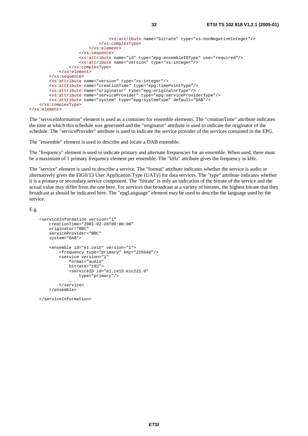```
 <xs:attribute name="bitrate" type="xs:nonNegativeInteger"/> 
                             </xs:complexType> 
                         </xs:element> 
                     </xs:sequence> 
                     <xs:attribute name="id" type="epg:ensembleIDType" use="required"/> 
                     <xs:attribute name="version" type="xs:integer"/> 
                 </xs:complexType> 
             </xs:element> 
         </xs:sequence> 
         <xs:attribute name="version" type="xs:integer"/> 
         <xs:attribute name="creationTime" type="epg:timePointType"/> 
 <xs:attribute name="originator" type="epg:originatorType"/> 
 <xs:attribute name="serviceProvider" type="epg:serviceProviderType"/> 
         <xs:attribute name="system" type="epg:systemType" default="DAB"/> 
    </xs:complexType>
```

```
</xs:element>
```
The "serviceInformation" element is used as a container for ensemble elements. The "creationTime" attribute indicates the time at which this schedule was generated and the "originator" attribute is used to indicate the originator of the schedule. The "serviceProvider" attribute is used to indicate the service provider of the services contained in the EPG.

The "ensemble" element is used to describe and locate a DAB ensemble.

The "frequency" element is used to indicate primary and alternate frequencies for an ensemble. When used, there must be a maximum of 1 primary frequency element per ensemble. The "kHz" attribute gives the frequency in kHz.

The "service" element is used to describe a service. The "format" attribute indicates whether the service is audio or alternatively gives the FIG0/13 User Application Type (UATy) for data services. The "type" attribute indicates whether it is a primary or secondary service component. The "bitrate" is only an indication of the bitrate of the service and the actual value may differ from the one here. For services that broadcast at a variety of bitrates, the highest bitrate that they broadcast at should be indicated here. The "epgLanguage" element may be used to describe the language used by the service.

E.g.

```
 <serviceInformation version="1" 
         creationTime="2001-02-28T00:00:00" 
         originator="BBC" 
         serviceProvider="BBC" 
         system="DAB"> 
         <ensemble id="e1.ce15" version="1"> 
              <frequency type="primary" kHz="225648"/> 
              <service version="1" 
                  format="audio" 
                  bitrate="192"> 
                  <serviceID id="e1.ce15.e1c221.0" 
                       type="primary"/> 
man and the contract of the
              </service> 
          </ensemble>
```
</serviceInformation>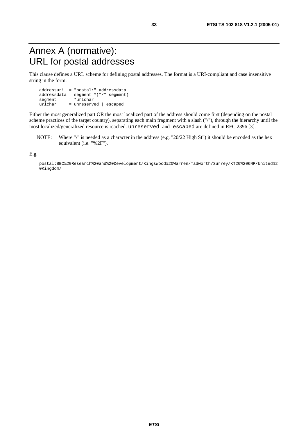## Annex A (normative): URL for postal addresses

This clause defines a URL scheme for defining postal addresses. The format is a URI-compliant and case insensitive string in the form:

 addressuri = "postal:" addressdata addressdata = segment \*("/" segment)  $\begin{array}{rcl}\n\text{segment} & = & * \text{urlchar} \\
\text{urlchar} & = & \text{unreserv}\n\end{array}$ = unreserved | escaped

Either the most generalized part OR the most localized part of the address should come first (depending on the postal scheme practices of the target country), separating each main fragment with a slash ("/"), through the hierarchy until the most localized/generalized resource is reached. unreserved and escaped are defined in RFC 2396 [3].

NOTE: Where "/" is needed as a character in the address (e.g. "20/22 High St") it should be encoded as the hex equivalent (i.e. "%2F").

E.g.

 postal:BBC%20Research%20and%20Development/Kingswood%20Warren/Tadworth/Surrey/KT20%206NP/United%2 0Kingdom/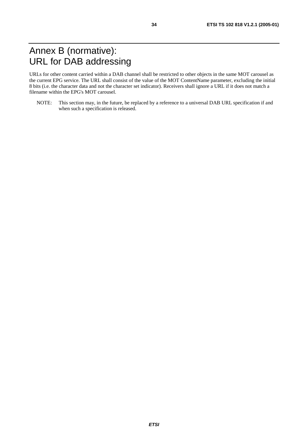## Annex B (normative): URL for DAB addressing

URLs for other content carried within a DAB channel shall be restricted to other objects in the same MOT carousel as the current EPG service. The URL shall consist of the value of the MOT ContentName parameter, excluding the initial 8 bits (i.e. the character data and not the character set indicator). Receivers shall ignore a URL if it does not match a filename within the EPG's MOT carousel.

NOTE: This section may, in the future, be replaced by a reference to a universal DAB URL specification if and when such a specification is released.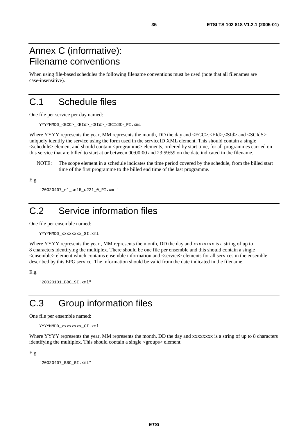## Annex C (informative): Filename conventions

When using file-based schedules the following filename conventions must be used (note that all filenames are case-insensitive).

## C.1 Schedule files

One file per service per day named:

YYYYMMDD\_<ECC>\_<EId>\_<SId>\_<SCIdS>\_PI.xml

Where YYYY represents the year, MM represents the month, DD the day and  $\langle ECC \rangle$ ,  $\langle EId \rangle$ ,  $\langle SId \rangle$  and  $\langle SCldS \rangle$ uniquely identify the service using the form used in the serviceID XML element. This should contain a single <schedule> element and should contain <programme> elements, ordered by start time, for all programmes carried on this service that are billed to start at or between 00:00:00 and 23:59:59 on the date indicated in the filename.

NOTE: The scope element in a schedule indicates the time period covered by the schedule, from the billed start time of the first programme to the billed end time of the last programme.

E.g.

```
 "20020407_e1_ce15_c221_0_PI.xml"
```
## C.2 Service information files

One file per ensemble named:

```
 YYYYMMDD_xxxxxxxx_SI.xml
```
Where YYYY represents the year, MM represents the month, DD the day and xxxxxxxx is a string of up to 8 characters identifying the multiplex. There should be one file per ensemble and this should contain a single <ensemble> element which contains ensemble information and <service> elements for all services in the ensemble described by this EPG service. The information should be valid from the date indicated in the filename.

E.g.

"20020101\_BBC\_SI.xml"

## C.3 Group information files

One file per ensemble named:

```
 YYYYMMDD_xxxxxxxx_GI.xml
```
Where YYYY represents the year, MM represents the month, DD the day and xxxxxxxx is a string of up to 8 characters identifying the multiplex. This should contain a single <groups> element.

E.g.

"20020407\_BBC\_GI.xml"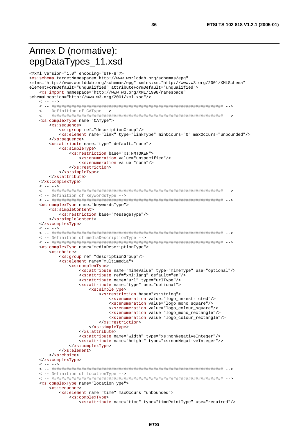## Annex D (normative): epgDataTypes\_11.xsd

```
<?xml version="1.0" encoding="UTF-8"?>
<xs:schema targetNamespace="http://www.worlddab.org/schemas/epg"
xmlns="http://www.worlddab.org/schemas/epq" xmlns:xs="http://www.w3.org/2001/XMLSchema"
elementFormDefault="unqualified" attributeFormDefault="unqualified">
   <xs:import namespace="http://www.w3.org/XML/1998/namespace"
schemaLocation="http://www.w3.org/2001/xml.xsd"/>
   \leq 1 - - - -<!-- Definition of CAType -->
   <xs:complexType name="CAType">
      <xs:sequence>
         <xs: qroup ref="descriptionGroup"/>
         <xs:element name="link" type="linkType" minOccurs="0" maxOccurs="unbounded"/>
      </xs:sequence>
      <xs:attribute name="type" default="none">
         <xs:simpleType>
             <xs:restriction base="xs:NMTOKEN">
                <xs:enumeration value="unspecified"/>
                <xs:enumeration value="none"/>
            </xs:restriction>
         </xs:simpleType>
      </xs:attribute>
   </xs:complexType>
   \leq 1 - - - -<!-- Definition of keywordsType -->
   <xs:complexType name="keywordsType">
      \xixs: \sinh^{-1}<sub>2</sub> Content>
         <xs:restriction base="messageType"/>
      </xs:simpleContent>
   </xs:complexType>
   \langle!-- -->
   <!-- Definition of mediaDescriptionType -->
   <xs:complexType name="mediaDescriptionType">
      <xs:choice>
         <xs:group ref="descriptionGroup"/>
         <xs:element name="multimedia">
             <xs:complexType>
                <xs:attribute name="mimeValue" type="mimeType" use="optional"/>
                <xs:attribute ref="xml:lang" default="en"/>
                <xs:attribute name="url" type="urlType"/>
                <xs:attribute name="type" use="optional">
                   <xs:simpleType>
                      <xs:restriction base="xs:string">
                         <xs:enumeration value="logo_unrestricted"/>
                         <xs:enumeration value="logo_mono_square"/>
                         <xs:enumeration value="logo_colour_square"/>
                         <xs:enumeration value="logo mono rectangle"/>
                         <xs:enumeration value="logo_colour_rectangle"/>
                      </xs:restriction>
                   </xs:simpleType>
                </xs:attribute>
                <xs:attribute name="width" type="xs:nonNegativeInteger"/>
                <xs:attribute name="height" type="xs:nonNegativeInteger"/>
             </xs:complexType>
         \langle x s : \text{element} \rangle</xs:choice>
   </xs:complexType>
   1 - - - -<!-- Definition of locationType -->
   <xs:complexType name="locationType">
      <xs:sequence>
         <xs:element name="time" maxOccurs="unbounded">
            <xs:complexType>
                <xs:attribute name="time" type="timePointType" use="required"/>
```
36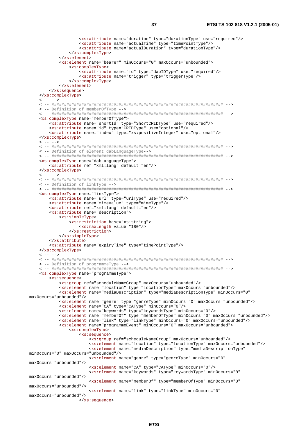```
 <xs:attribute name="duration" type="durationType" use="required"/> 
                  <xs:attribute name="actualTime" type="timePointType"/> 
                  <xs:attribute name="actualDuration" type="durationType"/> 
             </xs:complexType> 
         </xs:element> 
         <xs:element name="bearer" minOccurs="0" maxOccurs="unbounded"> 
              <xs:complexType> 
                  <xs:attribute name="id" type="dabIDType" use="required"/> 
                  <xs:attribute name="trigger" type="triggerType"/> 
             </xs:complexType> 
         </xs:element> 
     </xs:sequence> 
 </xs:complexType> 
 <!-- ##################################################################### --> 
 <!-- Definition of memberOfType --> 
 <!-- ##################################################################### --> 
             <xs:restriction base="xs:string"> 
                 <xs:maxLength value="180"/> 
             </xs:restriction>
```
 $\lt$ ! -- -->

maxOccurs="unbounded"/>

maxOccurs="unbounded"/>

maxOccurs="unbounded"/>

</xs:sequence>

 <xs:complexType name="memberOfType"> <xs:attribute name="shortId" type="ShortCRIDType" use="required"/> <xs:attribute name="id" type="CRIDType" use="optional"/> <xs:attribute name="index" type="xs:positiveInteger" use="optional"/> </xs:complexType>  $\langle$ !-- --> <!-- ##################################################################### --> <!-- Definition of element dabLanguageType--> <!-- ##################################################################### --> <xs:complexType name="dabLanguageType"> <xs:attribute ref="xml:lang" default="en"/> </xs:complexType>  $\leq$   $1 - - - -$  <!-- ##################################################################### --> <!-- Definition of linkType --> <!-- ##################################################################### --> <xs:complexType name="linkType"> <xs:attribute name="url" type="urlType" use="required"/> <xs:attribute name="mimeValue" type="mimeType"/> <xs:attribute ref="xml:lang" default="en"/> <xs:attribute name="description"> <xs:simpleType> </xs:simpleType> </xs:attribute> <xs:attribute name="expiryTime" type="timePointType"/> </xs:complexType>  $\leq$  -- --> <!-- ##################################################################### --> <!-- Definition of programmeType --> <!-- ##################################################################### --> <xs:complexType name="programmeType"> <xs:sequence> <xs:group ref="scheduleNameGroup" maxOccurs="unbounded"/> <xs:element name="location" type="locationType" maxOccurs="unbounded"/> <xs:element name="mediaDescription" type="mediaDescriptionType" minOccurs="0" maxOccurs="unbounded"/> <xs:element name="genre" type="genreType" minOccurs="0" maxOccurs="unbounded"/> <xs:element name="CA" type="CAType" minOccurs="0"/> <xs:element name="keywords" type="keywordsType" minOccurs="0"/> <xs:element name="memberOf" type="memberOfType" minOccurs="0" maxOccurs="unbounded"/> <xs:element name="link" type="linkType" minOccurs="0" maxOccurs="unbounded"/> <xs:element name="programmeEvent" minOccurs="0" maxOccurs="unbounded"> <xs:complexType> <xs:sequence> <xs:group ref="scheduleNameGroup" maxOccurs="unbounded"/> <xs:element name="location" type="locationType" maxOccurs="unbounded"/> <xs:element name="mediaDescription" type="mediaDescriptionType" minOccurs="0" maxOccurs="unbounded"/> <xs:element name="genre" type="genreType" minOccurs="0" maxOccurs="unbounded"/> <xs:element name="CA" type="CAType" minOccurs="0"/> <xs:element name="keywords" type="keywordsType" minOccurs="0"

<xs:element name="link" type="linkType" minOccurs="0"

<xs:element name="memberOf" type="memberOfType" minOccurs="0"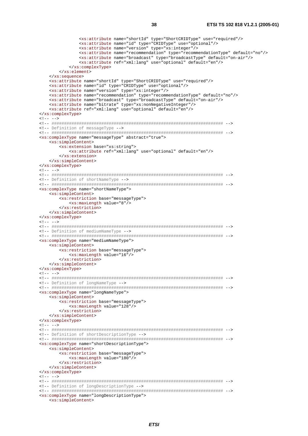```
 <xs:attribute name="shortId" type="ShortCRIDType" use="required"/> 
                      <xs:attribute name="id" type="CRIDType" use="optional"/> 
                     <xs:attribute name="version" type="xs:integer"/> 
                     <xs:attribute name="recommendation" type="recommendationType" default="no"/> 
                     <xs:attribute name="broadcast" type="broadcastType" default="on-air"/> 
                     <xs:attribute ref="xml:lang" use="optional" default="en"/> 
                 </xs:complexType> 
             </xs:element> 
         </xs:sequence> 
         <xs:attribute name="shortId" type="ShortCRIDType" use="required"/> 
         <xs:attribute name="id" type="CRIDType" use="optional"/> 
         <xs:attribute name="version" type="xs:integer"/> 
         <xs:attribute name="recommendation" type="recommendationType" default="no"/> 
         <xs:attribute name="broadcast" type="broadcastType" default="on-air"/> 
 <xs:attribute name="bitrate" type="xs:nonNegativeInteger"/> 
 <xs:attribute ref="xml:lang" use="optional" default="en"/> 
     </xs:complexType> 
   21 - 22 <!-- ##################################################################### --> 
    <!-- Definition of messageType --> 
    <!-- ##################################################################### --> 
    <xs:complexType name="messageType" abstract="true"> 
         <xs:simpleContent> 
             <xs:extension base="xs:string"> 
                 <xs:attribute ref="xml:lang" use="optional" default="en"/> 
             </xs:extension> 
         </xs:simpleContent> 
     </xs:complexType> 
   21 - - - - - <!-- ##################################################################### --> 
    <!-- Definition of shortNameType --> 
    <!-- ##################################################################### --> 
     <xs:complexType name="shortNameType"> 
         <xs:simpleContent> 
             <xs:restriction base="messageType"> 
                 <xs:maxLength value="8"/> 
             </xs:restriction> 
         </xs:simpleContent> 
    </xs:complexType> 
   \lt! -- -->
     <!-- ##################################################################### --> 
    <!-- Definition of mediumNameType --> 
    <!-- ##################################################################### --> 
    <xs:complexType name="mediumNameType"> 
         <xs:simpleContent> 
             <xs:restriction base="messageType"> 
                 <xs:maxLength value="16"/> 
             </xs:restriction> 
         </xs:simpleContent> 
     </xs:complexType> 
   \lt!! -- -->
    <!-- ##################################################################### --> 
    <!-- Definition of longNameType --> 
     <!-- ##################################################################### --> 
    <xs:complexType name="longNameType"> 
         <xs:simpleContent> 
             <xs:restriction base="messageType"> 
                 <xs:maxLength value="128"/> 
             </xs:restriction> 
         </xs:simpleContent> 
    </xs:complexType> 
   \lt!! -- -->
     <!-- ##################################################################### --> 
    <!-- Definition of shortDescriptionType --> 
    <!-- ##################################################################### --> 
    <xs:complexType name="shortDescriptionType"> 
         <xs:simpleContent> 
             <xs:restriction base="messageType"> 
                 <xs:maxLength value="180"/> 
             </xs:restriction> 
         </xs:simpleContent> 
    </xs:complexType> 
   \leq ! -- -->
    <!-- ##################################################################### --> 
     <!-- Definition of longDescriptionType --> 
     <!-- ##################################################################### --> 
    <xs:complexType name="longDescriptionType"> 
         <xs:simpleContent>
```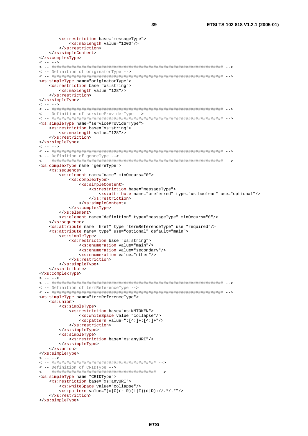```
<xs:restriction base="messageType">
         <xs:maxLength value="1200"/>
      </xs:restriction>
   </xs:simpleContent>
</xs:complexType>
\lt!! -- -->
<!-- Definition of originatorType -->
<xs:simpleType name="originatorType">
   <xs:restriction base="xs:string">
      <xs:maxLength value="128"/>
   </xs:restriction>
</xs:simpleType>
\lt!! -- -->
<!-- Definition of serviceProviderType -->
<xs:simpleType name="serviceProviderType">
   <xs:restriction base="xs:string">
     <xs:maxLength value="128"/>
   </xs:restriction>
</xs:simpleType>
\leq - - - -<!-- Definition of genreType -->
<xs:complexType name="genreType">
   <xs:sequence>
      <xs:element name="name" minOccurs="0">
         <xs:complexType>
            \xixs: simpleContent>
               <xs:restriction base="messageType">
                  <xs:attribute name="preferred" type="xs:boolean" use="optional"/>
               </xs:restriction>
            </xs:simpleContent>
         </xs:complexType>
      \langle x s : \text{element}\rangle<xs:element name="definition" type="messageType" minOccurs="0"/>
   \langle xs:sequence>
   <xs:attribute name="href" type="termReferenceType" use="required"/>
   <xs:attribute name="type" use="optional" default="main">
      sxs:simpleType>
         <xs:restriction base="xs:string">
            <xs:enumeration value="main"/>
            <xs:enumeration value="secondary"/>
            <xs:enumeration value="other"/>
         </xs:restriction>
      </xs:simpleType>
   \frac{2}{x}s: attribute>
</xs:complexType>
c1 - - - -<!-- Definition of termReferenceType -->
<xs:simpleType name="termReferenceType">
   <xs:union>
      <xs:simpleType>
         <xs:restriction base="xs:NMTOKEN">
            <xs:whiteSpace value="collapse"/>
            \langle xs:pattern value='::[^{\wedge}]:[:] + |^{\wedge}</xs:restriction>
      </xs:simpleType>
      <xs:simpleType>
         <xs: restriction base="xs: anyURI" />
      </xs:simpleType>
   </xs:union>
</xs:simpleType>
1 - - - -<!-- Definition of CRIDType -->
<xs:simpleType name="CRIDType">
   <xs:restriction base="xs:anyURI">
      <xs:whiteSpace value="collapse"/>
      \langle xs:pattern value='c|c)(r|R)(i|I)(d|D):///.*/.**</xs:restriction>
</xs:simpleType>
```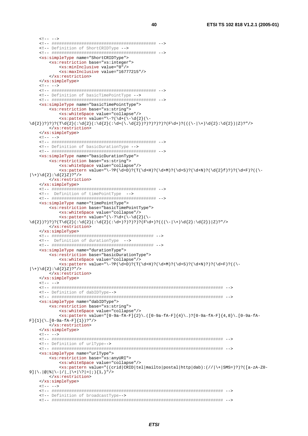$\langle$ !-- --> <!-- ########################################## --> <!-- Definition of ShortCRIDType --> <!-- ########################################## --> <xs:simpleType name="ShortCRIDType"> <xs:restriction base="xs:integer"> <xs:minInclusive value="0"/> <xs:maxInclusive value="16777215"/> </xs:restriction> </xs:simpleType>  $\langle$ !-- --> <!-- ########################################## --> <!-- Definition of basicTimePointType --> <!-- ########################################## --> <xs:simpleType name="basicTimePointType"> <xs:restriction base="xs:string"> <xs:whiteSpace value="collapse"/>  $\langle xs : pattern value = "\ -?(\d+(\d+(\d+2))\ \d{2}$ )?)?)?(T\d{2}(:\d{2}(:\d{2}(:\d{2}(:\d{2})?)?)?)?)?(F\d+)?(((\-|\+)\d{2}:\d{2})|Z)?"/> </xs:restriction> </xs:simpleType>  $21 - - - - -$  <!-- ########################################## --> <!-- Definition of basicDurationType --> <!-- ########################################## --> <xs:simpleType name="basicDurationType"> <xs:restriction base="xs:string"> <xs:whiteSpace value="collapse"/>  $\langle x s : pattern \ value = "\ -?P(\d+D)?(T(\d+H)?(\d+M)?(\d+S)?(\d+N)?(\d{2}f)?)?(\d+F)?($  $|\ \rangle$  +  $\rangle$  \d{2}: \d{2}Z)?"/> </xs:restriction> </xs:simpleType> <!-- ########################################## --> <!-- Definition of timePointType --> <!-- ########################################## --> <xs:simpleType name="timePointType"> <xs:restriction base="basicTimePointType"> <xs:whiteSpace value="collapse"/>  $\langle xs:pattern value='({\2}d+({\-\d{42})).$  $\d{2};$ )?)?)?(T\d{2}(:\d{2}(:\d{2}(:\d+)?)?)?)?(F\d+)?(((\-|\+)\d{2}:\d{2}|Z)?"/> </xs:restriction> </xs:simpleType> <!-- ######################################### --> <!-- Definition of durationType --> <!-- ######################################### --> <xs:simpleType name="durationType"> <xs:restriction base="basicDurationType"> <xs:whiteSpace value="collapse"/>  $\langle x s : pattern value = "\ -?P(\d+D)?(T(\d+H)?(\d+M)?(\d+S?(\d+H??(\d+F?((\d+F))?$  $|\setminus + \setminus d\{2\}:\setminus d\{2\}Z)$ ?"/> </xs:restriction> </xs:simpleType>  $21 - - - - -$  <!-- ##################################################################### --> <!-- Definition of dabIDType--> <!-- ##################################################################### --> <xs:simpleType name="dabIDType"> <xs:restriction base="xs:string"> <xs:whiteSpace value="collapse"/> <xs:pattern value="[0-9a-fA-F]{2}\.([0-9a-fA-F]{4}\.)?[0-9a-fA-F]{4,8}\.[0-9a-fA- $F$ ] $\{1\}$ (\.[0-9a-fA-F] $\{1\}$ )?"/> </xs:restriction> </xs:simpleType>  $\lt$ ! -- --> <!-- ##################################################################### --> <!-- Definition of urlType--> <!-- ##################################################################### --> <xs:simpleType name="urlType"> <xs:restriction base="xs:anyURI"> <xs:whiteSpace value="collapse"/> <xs:pattern value="((crid|CRID|tel|mailto|postal|http|dab):(//|\+|SMS=)?)?([a-zA-Z0-  $9$ ]|\.|@|%|\-|/|\_|\+|\?|=|;){1,}"/> </xs:restriction> </xs:simpleType>  $\langle$ !-- --> <!-- ##################################################################### --> <!-- Definition of broadcastType--> <!-- ##################################################################### -->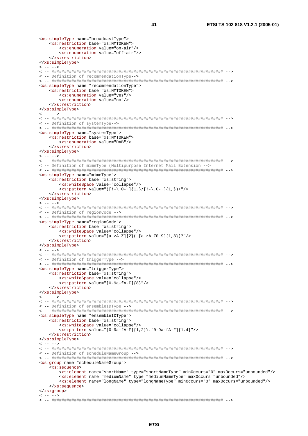41

```
<xs:simpleType name="broadcastType">
  <xs:restriction base="xs:NMTOKEN">
     <xs:enumeration value="on-air"/>
     <xs:enumeration value="off-air"/>
  </xs:restriction>
</xs:simpleType>
21 - 2 - 5<!-- Definition of recommendationType -- >
<xs:simpleType name="recommendationType">
  <xs:restriction base="xs:NMTOKEN">
     <xs:enumeration value="yes"/>
     <xs:enumeration value="no"/>
  </xs:restriction>
</xs:simpleType>
c1 - - - -<!-- Definition of systemType -- >
<xs:simpleType name="systemType">
  <xs:restriction base="xs:NMTOKEN">
     <xs:enumeration value="DAB"/>
  </xs:restriction>
</xs:simpleType>
21 - - - -<!-- Definition of mimeType (Multipurpose Internet Mail Extension -->
<xs:simpleType name="mimeType">
  <xs:restriction base="xs:string">
     <xs:whiteSpace value="collapse"/>
     <xs:pattern value="([!-\.0-~]{1,}/[!-\.0-~]{1,})+"/>
  </xs:restriction>
</xs:simpleType>
\lt!! -- -->
<!-- Definition of regionCode -->
<xs:simpleType name="regionCode">
  <xs:restriction base="xs:string">
    <xs:whiteSpace value="collapse"/>
     \langle x s :pattern value="[a-zA-Z]{2}(-[a-zA-Z0-9]{1,3})?"/>
  </xs:restriction>
</xs:simpleType>
\langle!-- -->
<!-- Definition of triggerType -->
<xs:simpleType name="triggerType">
  <xs:restriction base="xs:string">
    <xs:whiteSpace value="collapse"/>
     <xs: pattern value="[0-9a-fA-F]{8}"/>
  </xs:restriction>
</xs:simpleType>
1 - - - -<!-- Definition of ensembleIDType -->
<xs:simpleType name="ensembleIDType">
  <xs:restriction base="xs:string">
     <xs:whiteSpace value="collapse"/>
     <xs:pattern value="[0-9a-fA-F]{1,2}\.[0-9a-fA-F]{1,4}"/>
  </xs:restriction>
</xs:simpleType>
1 - - - -<!-- Definition of scheduleNameGroup -->
<xs:group name="scheduleNameGroup">
  <xs:sequence>
     <xs:element name="shortName" type="shortNameType" minOccurs="0" maxOccurs="unbounded"/>
     <xs:element name="mediumName" type="mediumNameType" maxOccurs="unbounded"/>
     <xs:element name="longName" type="longNameType" minOccurs="0" maxOccurs="unbounded"/>
  </xs:sequence>
</xs:group>
21 - - - -
```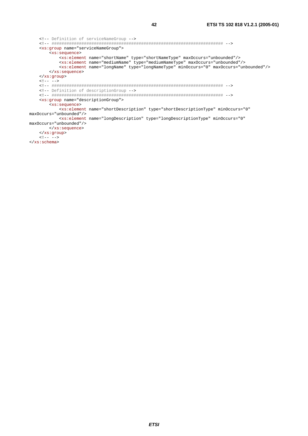```
<!-- Definition of serviceNameGroup -->
   <xs:group name="serviceNameGroup">
      <xs:sequence>
         <xs:element name="shortName" type="shortNameType" maxOccurs="unbounded"/>
         <xs:element name="mediumName" type="mediumNameType" maxOccurs="unbounded"/>
         <xs:element name="longName" type="longNameType" minOccurs="0" maxOccurs="unbounded"/>
      </xs:sequence>
   </xs:group>
   \lt!! -- -->
   <!-- Definition of descriptionGroup -->
   <xs:group name="descriptionGroup">
      <xs:sequence>
        <xs:element name="shortDescription" type="shortDescriptionType" minOccurs="0"
maxOccurs="unbounded"/>
        <xs:element name="longDescription" type="longDescriptionType" minOccurs="0"
maxOccurs="unbounded"/>
     </xs:sequence>
   </xs:group>
   21 - - - - -</xs:schema>
```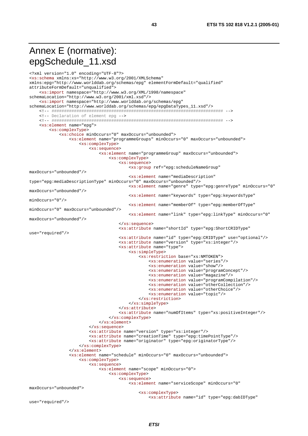## Annex E (normative): epgSchedule\_11.xsd

```
<?xml version="1.0" encoding="UTF-8"?>
<xs:schema xmlns:xs="http://www.w3.org/2001/XMLSchema"
xmlns:epq="http://www.worlddab.org/schemas/epq" elementFormDefault="qualified"
attributeFormDefault="unqualified">
    <xs:import namespace="http://www.w3.org/XML/1998/namespace"
schemaLocation="http://www.w3.org/2001/xml.xsd"/>
    <xs:import namespace="http://www.worlddab.org/schemas/epg"
schemaLocation="http://www.worlddab.org/schemas/epg/epgDataTypes_11.xsd"/>
   <!-- Declaration of element epg -->
   <xs:element name="epq">
       <xs:complexType>
           <xs:choice minOccurs="0" maxOccurs="unbounded">
               <xs:element name="programmeGroups" minOccurs="0" maxOccurs="unbounded">
                   <xs:complexType>
                       <xs:sequence>
                           <xs:element name="programmeGroup" maxOccurs="unbounded">
                               <xs:complexType>
                                  <xs:sequence>
                                      <xs:group ref="epg:scheduleNameGroup"
maxOccurs="unbounded"/>
                                      <xs:element name="mediaDescription"
type="epg:mediaDescriptionType" minOccurs="0" maxOccurs="unbounded"/>
                                      <xs:element name="genre" type="epg:genreType" minOccurs="0"
maxOccurs="unbounded"/>
                                      <xs:element name="keywords" type="epg:keywordsType"
minOccurs = "0"/>
                                      <xs:element name="memberOf" type="epg:memberOfType"
minOccurs="0" maxOccurs="unbounded"/>
                                      <xs:element name="link" type="epg:linkType" minOccurs="0"
maxOccurs="unbounded"/>
                                   </xs:sequence>
                                   <xs:attribute name="shortId" type="epg:ShortCRIDType"
use="required"/>
                                   <xs:attribute name="id" type="epg:CRIDType" use="optional"/>
                                   <xs:attribute name="version" type="xs:integer"/>
                                   <xs:attribute name="type">
                                      <xs:simpleType>
                                          <xs:restriction base="xs:NMTOKEN">
                                              <xs:enumeration value="series"/>
                                              <xs:enumeration value="show"/>
                                              <xs:enumeration value="programConcept"/>
                                              <xs:enumeration value="magazine"/>
                                              <xs:enumeration value="programCompilation"/>
                                              <xs:enumeration value="otherCollection"/>
                                              <xs:enumeration value="otherChoice"/>
                                              <xs:enumeration value="topic"/>
                                          </xs:restriction>
                                      </xs:simpleType>
                                   \frac{2}{x}s: attribute>
                                   <xs:attribute name="numOfItems" type="xs:positiveInteger"/>
                               </xs:complexType>
                           \frac{2}{x}s:element>
                       </xs:sequence>
                       <xs:attribute name="version" type="xs:integer"/>
                       <xs:attribute name="creationTime" type="epg:timePointType"/>
                       <xs:attribute name="originator" type="epg:originatorType"/>
                   </xs:complexType>
               \frac{1}{2} </xs: element>
               <xs:element name="schedule" minOccurs="0" maxOccurs="unbounded">
                   <xs:complexType>
                       <xs:sequence>
                           <xs:element name="scope" minOccurs="0">
                               <xs:complexType>
                                  <xs:sequence>
                                       <xs:element name="serviceScope" minOccurs="0"
maxOccurs="unbounded">
                                          <xs:complexType>
                                              <xs:attribute name="id" type="epg:dabIDType"
```

```
use="required"/>
```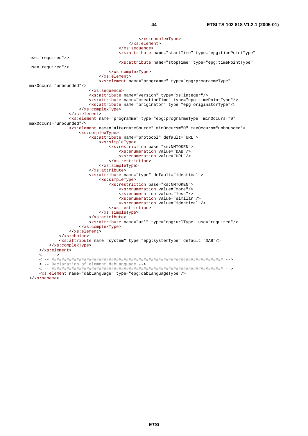```
 </xs:complexType> 
                                            </xs:element> 
                                       </xs:sequence> 
                                       <xs:attribute name="startTime" type="epg:timePointType" 
use="required"/> 
                                       <xs:attribute name="stopTime" type="epg:timePointType" 
use="required"/> 
                                   </xs:complexType> 
                               </xs:element> 
                               <xs:element name="programme" type="epg:programmeType" 
maxOccurs="unbounded"/> 
                           </xs:sequence> 
                           <xs:attribute name="version" type="xs:integer"/> 
                           <xs:attribute name="creationTime" type="epg:timePointType"/> 
                          <xs:attribute name="originator" type="epg:originatorType"/> 
                      </xs:complexType> 
                  </xs:element> 
                  <xs:element name="programme" type="epg:programmeType" minOccurs="0" 
maxOccurs="unbounded"/> 
                  <xs:element name="alternateSource" minOccurs="0" maxOccurs="unbounded"> 
                      <xs:complexType> 
                          <xs:attribute name="protocol" default="URL"> 
                               <xs:simpleType> 
                                   <xs:restriction base="xs:NMTOKEN"> 
                                       <xs:enumeration value="DAB"/> 
                                       <xs:enumeration value="URL"/> 
                                   </xs:restriction> 
                               </xs:simpleType> 
                          </xs:attribute> 
                          <xs:attribute name="type" default="identical"> 
                               <xs:simpleType> 
                                   <xs:restriction base="xs:NMTOKEN"> 
                                       <xs:enumeration value="more"/> 
                                       <xs:enumeration value="less"/> 
                                       <xs:enumeration value="similar"/> 
                                        <xs:enumeration value="identical"/> 
                                   </xs:restriction> 
                               </xs:simpleType> 
                          </xs:attribute> 
                          <xs:attribute name="url" type="epg:urlType" use="required"/> 
                      </xs:complexType> 
                  </xs:element> 
             </xs:choice> 
             <xs:attribute name="system" type="epg:systemType" default="DAB"/> 
         </xs:complexType> 
     </xs:element> 
    \leq -- -->
     <!-- ##################################################################### --> 
     <!-- Declaration of element dabLanguage --> 
     <!-- ##################################################################### --> 
     <xs:element name="dabLanguage" type="epg:dabLanguageType"/> 
</xs:schema>
```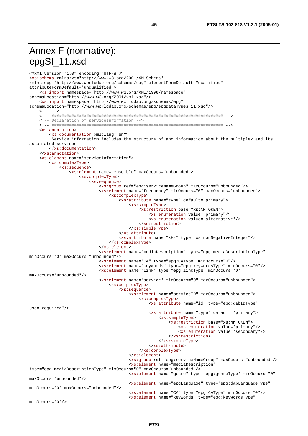## Annex F (normative): epgSI\_11.xsd

```
<?xml version="1.0" encoding="UTF-8"?>
<xs:schema xmlns:xs="http://www.w3.org/2001/XMLSchema"
xmlns:epq="http://www.worlddab.org/schemas/epq" elementFormDefault="qualified"
attributeFormDefault="unqualified">
    <xs:import namespace="http://www.w3.org/XML/1998/namespace"
schemaLocation="http://www.w3.org/2001/xml.xsd"/>
    <xs:import namespace="http://www.worlddab.org/schemas/epg"
schemaLocation="http://www.worlddab.org/schemas/epg/epgDataTypes_11.xsd"/>
   \langle!-- -->
    <!-- Declaration of serviceInformation -->
   xxs:annotation<xs:documentation xml:lang="en">
        Service information includes the structure of and information about the multiplex and its
associated services
       </xs:documentation>
   \epsilon/xs:annotation>
   <xs:element name="serviceInformation">
       <xs:complexType>
           <xs:sequence>
               <xs:element name="ensemble" maxOccurs="unbounded">
                   <xs:complexType>
                       <xs:sequence>
                           <xs:qroup ref="epq:serviceNameGroup" maxOccurs="unbounded"/>
                           <xs:element name="frequency" minOccurs="0" maxOccurs="unbounded">
                               <xs:complexType>
                                   <xs:attribute name="type" default="primary">
                                       <xs:simpleType>
                                          <xs:restriction base="xs:NMTOKEN">
                                              <xs:enumeration value="primary"/>
                                              <xs:enumeration value="alternative"/>
                                           </xs:restriction>
                                       </xs:simpleType>
                                   </xs:attribute>
                                   <xs:attribute name="kHz" type="xs:nonNegativeInteger"/>
                               </xs:complexType>
                           \frac{1}{2} </xs: element>
                           <xs:element name="mediaDescription" type="epg:mediaDescriptionType"
minOccurs="0" maxOccurs="unbounded"/>
                           <xs:element name="CA" type="epg:CAType" minOccurs="0"/>
                           <xs:element name="keywords" type="epg:keywordsType" minOccurs="0"/>
                           <xs:element name="link" type="epg:linkType" minOccurs="0"
maxOccurs="unbounded"/>
                           <xs:element name="service" minOccurs="0" maxOccurs="unbounded">
                               <xs:complexType>
                                   <xs: sequence>
                                       <xs:element_name="serviceID"_max0ccurs="unbounded">
                                          <xs:complexType>
                                              <xs:attribute name="id" type="epg:dabIDType"
use="required"/>
                                              <xs:attribute name="type" default="primary">
                                                  <xs:simpleType>
                                                      <xs:restriction base="xs:NMTOKEN">
                                                          <xs:enumeration value="primary"/>
                                                          <xs:enumeration value="secondary"/>
                                                      </xs:restriction>
                                                  </xs:simpleType>
                                              </xs:attribute>
                                           </xs:complexType>
                                       \langle xs :element>
                                       <xs:group ref="epg:serviceNameGroup" maxOccurs="unbounded"/>
                                       <xs:element name="mediaDescription"
type="epg:mediaDescriptionType" minOccurs="0" maxOccurs="unbounded"/>
                                       <xs:element name="genre" type="epg:genreType" minOccurs="0"
maxOccurs="unbounded"/>
                                       <xs:element name="epgLanguage" type="epg:dabLanguageType"
minOccurs="0" maxOccurs="unbounded"/>
                                       <xs:element name="CA" type="epg:CAType" minOccurs="0"/>
                                       <xs'clement name="keywords" type="epg:keywordsType"
minOccurs = "0"/>
```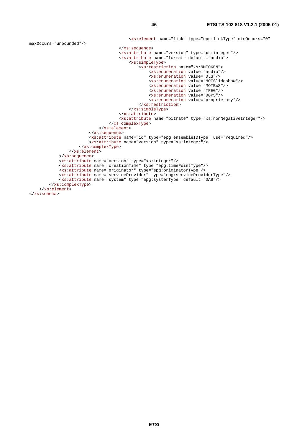```
 <xs:element name="link" type="epg:linkType" minOccurs="0" 
maxOccurs="unbounded"/> 
                                       </xs:sequence> 
                                       <xs:attribute name="version" type="xs:integer"/> 
                                       <xs:attribute name="format" default="audio"> 
                                            <xs:simpleType> 
                                                <xs:restriction base="xs:NMTOKEN"> 
                                                    <xs:enumeration value="audio"/> 
                                                    <xs:enumeration value="DLS"/> 
                                                    <xs:enumeration value="MOTSlideshow"/> 
                                                    <xs:enumeration value="MOTBWS"/> 
                                                    <xs:enumeration value="TPEG"/> 
                                                    <xs:enumeration value="DGPS"/> 
                                                    <xs:enumeration value="proprietary"/> 
                                                </xs:restriction> 
                                           </xs:simpleType> 
                                       </xs:attribute> 
                                       <xs:attribute name="bitrate" type="xs:nonNegativeInteger"/> 
                                   </xs:complexType> 
                              </xs:element> 
                          </xs:sequence> 
                          <xs:attribute name="id" type="epg:ensembleIDType" use="required"/> 
                          <xs:attribute name="version" type="xs:integer"/> 
                      </xs:complexType> 
                  </xs:element> 
             </xs:sequence> 
              <xs:attribute name="version" type="xs:integer"/> 
             <xs:attribute name="creationTime" type="epg:timePointType"/> 
             <xs:attribute name="originator" type="epg:originatorType"/> 
             <xs:attribute name="serviceProvider" type="epg:serviceProviderType"/> 
             <xs:attribute name="system" type="epg:systemType" default="DAB"/> 
         </xs:complexType> 
     </xs:element> 
</xs:schema>
```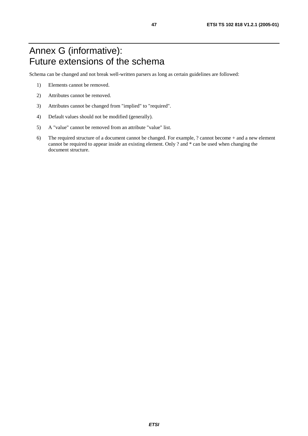## Annex G (informative): Future extensions of the schema

Schema can be changed and not break well-written parsers as long as certain guidelines are followed:

- 1) Elements cannot be removed.
- 2) Attributes cannot be removed.
- 3) Attributes cannot be changed from "implied" to "required".
- 4) Default values should not be modified (generally).
- 5) A "value" cannot be removed from an attribute "value" list.
- 6) The required structure of a document cannot be changed. For example, ? cannot become + and a new element cannot be required to appear inside an existing element. Only ? and \* can be used when changing the document structure.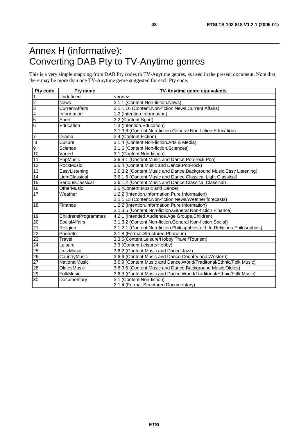## Annex H (informative): Converting DAB Pty to TV-Anytime genres

This is a very simple mapping from DAB Pty codes to TV-Anytime genres, as used in the present document. Note that there may be more than one TV-Anytime genre suggested for each Pty code.

| Pty code        | Pty name              | TV-Anytime genre equivalents                                              |
|-----------------|-----------------------|---------------------------------------------------------------------------|
| $\mathbf{1}$    | Undefined             | <none></none>                                                             |
| $\overline{2}$  | <b>News</b>           | 3.1.1 (Content.Non-fiction.News)                                          |
| 3               | <b>CurrentAffairs</b> | 3.1.1.16 (Content.Non-fiction.News.Current Affairs)                       |
| $\overline{4}$  | Information           | 1.2 (Intention.Information)                                               |
| $\overline{5}$  | Sport                 | 3.2 (Content.Sport)                                                       |
| $\overline{6}$  | Education             | 1.3 (Intention.Education)                                                 |
|                 |                       | 3.1.3.6 (Content.Non-fiction.General Non-fiction.Education)               |
| $\overline{7}$  | Drama                 | 3.4 (Content.Fiction)                                                     |
| $\bf 8$         | Culture               | 3.1.4 (Content.Non-fiction.Arts & Media)                                  |
| $\overline{9}$  | Science               | 3.1.6 (Content.Non-fiction.Sciences)                                      |
| 10              | Varied                | 3.1 (Content.Non-fiction)                                                 |
| 11              | PopMusic              | 3.6.4.1 (Content.Music and Dance.Pop-rock.Pop)                            |
| 12              | <b>RockMusic</b>      | 3.6.4 (Content.Music and Dance.Pop-rock)                                  |
| 13              | EasyListening         | 3.6.3.2 (Content. Music and Dance. Background Music. Easy Listening)      |
| $\overline{14}$ | LightClassical        | 3.6.1.5 (Content.Music and Dance.Classical.Light Classical)               |
| 15              | SeriousClassical      | 3.6.1.2 (Content.Music and Dance.Classical.Classical)                     |
| 16              | <b>OtherMusic</b>     | 3.6 (Content.Music and Dance)                                             |
| 17              | Weather               | 1.2.2 (Intention.Information.Pure Information)                            |
|                 |                       | 3.1.1.13 (Content.Non-fiction.News/Weather forecasts)                     |
| 18              | Finance               | 1.2.2 (Intention.Information.Pure Information)                            |
|                 |                       | 3.1.3.5 (Content.Non-fiction.General Non-fiction.Finance)                 |
| 19              | ChildrensProgrammes   | 4.2.1 (Intended Audience.Age Groups.Children)                             |
| $\overline{20}$ | SocialAffairs         | 3.1.3.2 (Content.Non-fiction.General Non-fiction.Social)                  |
| 21              | Religion              | 3.1.2.1 (Content.Non-fiction.Philospphies of Life.Religious Philosophies) |
| $\overline{22}$ | Phoneln               | 2.1.8 (Format.Structured.Phone-in)                                        |
| 23              | Travel                | 3.3.5(Content.Leisure/Hobby.Travel/Tourism)                               |
| $\overline{24}$ | Leisure               | 3.3 (Content.Leisure/Hobby)                                               |
| 25              | JazzMusic             | 3.6.2 (Content.Music and Dance.Jazz)                                      |
| $\overline{26}$ | CountryMusic          | 3.6.6 (Content.Music and Dance.Country and Western)                       |
| 27              | NationalMusic         | 3.6.9 (Content. Music and Dance. World/Traditonal/Ethnic/Folk Music)      |
| $\overline{28}$ | OldiesMusic           | 3.6.3.5 (Content.Music and Dance.Background Music.Oldies)                 |
| 29              | FolkMusic             | 3.6.9 (Content.Music and Dance.World/Traditonal/Ethnic/Folk Music)        |
| 30              | Documentary           | 3.1 (Content.Non-fiction)                                                 |
|                 |                       | 2.1.4 (Format.Structured.Documentary)                                     |